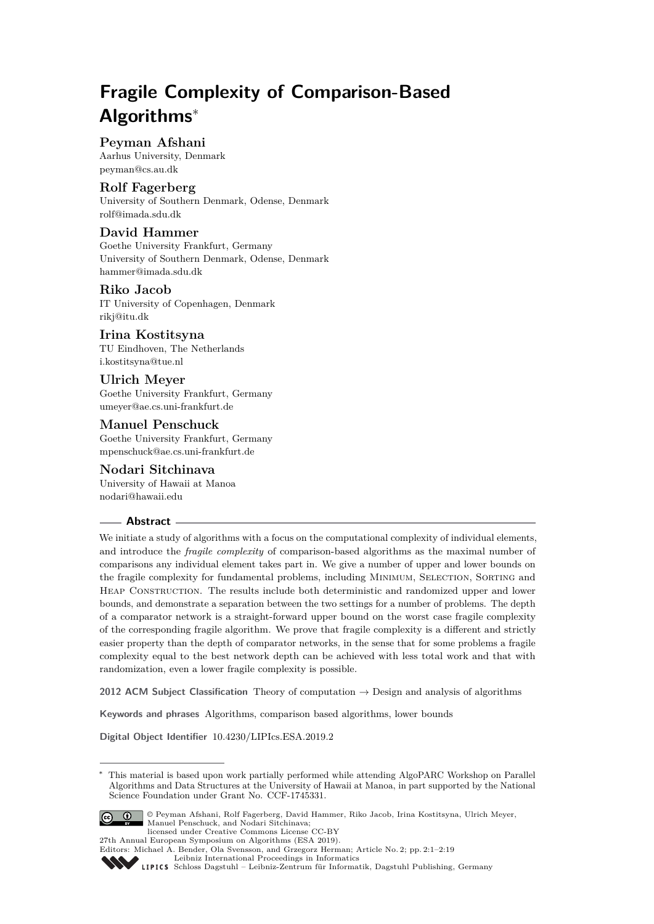# **Fragile Complexity of Comparison-Based Algorithms**<sup>∗</sup>

# **Peyman Afshani**

Aarhus University, Denmark [peyman@cs.au.dk](mailto:peyman@cs.au.dk)

## **Rolf Fagerberg**

University of Southern Denmark, Odense, Denmark [rolf@imada.sdu.dk](mailto:rolf@imada.sdu.dk)

# **David Hammer**

Goethe University Frankfurt, Germany University of Southern Denmark, Odense, Denmark [hammer@imada.sdu.dk](mailto:hammer@imada.sdu.dk)

## **Riko Jacob**

IT University of Copenhagen, Denmark [rikj@itu.dk](mailto:rikj@itu.dk)

# **Irina Kostitsyna**

TU Eindhoven, The Netherlands [i.kostitsyna@tue.nl](mailto:i.kostitsyna@tue.nl)

# **Ulrich Meyer**

Goethe University Frankfurt, Germany [umeyer@ae.cs.uni-frankfurt.de](mailto:umeyer@ae.cs.uni-frankfurt.de)

# **Manuel Penschuck**

Goethe University Frankfurt, Germany [mpenschuck@ae.cs.uni-frankfurt.de](mailto:mpenschuck@ae.cs.uni-frankfurt.de)

# **Nodari Sitchinava**

University of Hawaii at Manoa [nodari@hawaii.edu](mailto:nodari@hawaii.edu)

## **Abstract**

We initiate a study of algorithms with a focus on the computational complexity of individual elements, and introduce the *fragile complexity* of comparison-based algorithms as the maximal number of comparisons any individual element takes part in. We give a number of upper and lower bounds on the fragile complexity for fundamental problems, including MINIMUM, SELECTION, SORTING and Heap Construction. The results include both deterministic and randomized upper and lower bounds, and demonstrate a separation between the two settings for a number of problems. The depth of a comparator network is a straight-forward upper bound on the worst case fragile complexity of the corresponding fragile algorithm. We prove that fragile complexity is a different and strictly easier property than the depth of comparator networks, in the sense that for some problems a fragile complexity equal to the best network depth can be achieved with less total work and that with randomization, even a lower fragile complexity is possible.

**2012 ACM Subject Classification** Theory of computation → Design and analysis of algorithms

**Keywords and phrases** Algorithms, comparison based algorithms, lower bounds

**Digital Object Identifier** [10.4230/LIPIcs.ESA.2019.2](https://doi.org/10.4230/LIPIcs.ESA.2019.2)

This material is based upon work partially performed while attending AlgoPARC Workshop on Parallel Algorithms and Data Structures at the University of Hawaii at Manoa, in part supported by the National Science Foundation under Grant No. CCF-1745331.



© Peyman Afshani, Rolf Fagerberg, David Hammer, Riko Jacob, Irina Kostitsyna, Ulrich Meyer, Manuel Penschuck, and Nodari Sitchinava; licensed under Creative Commons License CC-BY

27th Annual European Symposium on Algorithms (ESA 2019).

Editors: Michael A. Bender, Ola Svensson, and Grzegorz Herman; Article No. 2; pp. 2:1–2[:19](#page-18-0) [Leibniz International Proceedings in Informatics](https://www.dagstuhl.de/lipics/)

[Schloss Dagstuhl – Leibniz-Zentrum für Informatik, Dagstuhl Publishing, Germany](https://www.dagstuhl.de)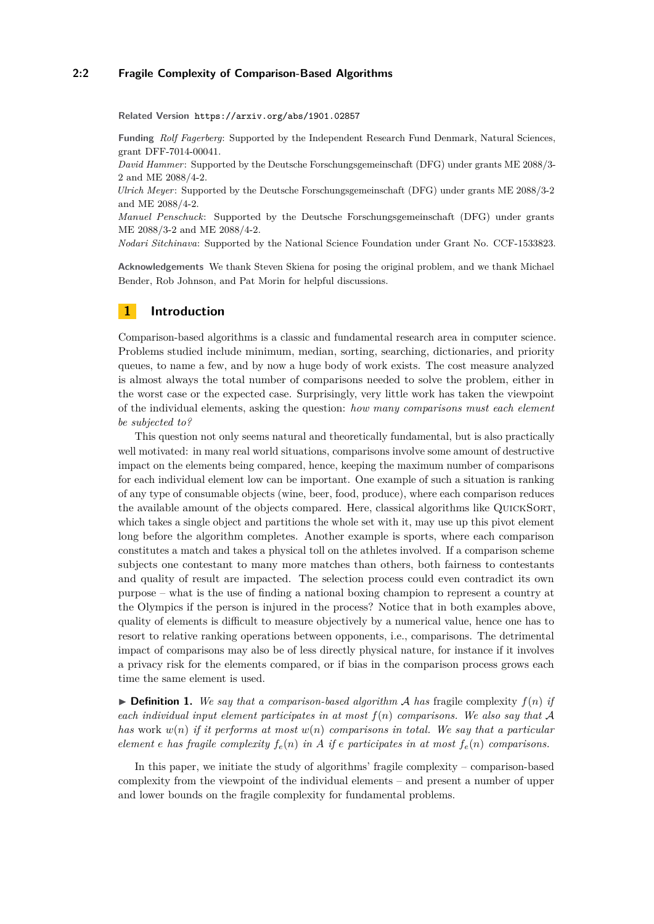## **2:2 Fragile Complexity of Comparison-Based Algorithms**

**Related Version** <https://arxiv.org/abs/1901.02857>

**Funding** *Rolf Fagerberg*: Supported by the Independent Research Fund Denmark, Natural Sciences, grant DFF-7014-00041.

*David Hammer*: Supported by the Deutsche Forschungsgemeinschaft (DFG) under grants ME 2088/3- 2 and ME 2088/4-2.

*Ulrich Meyer*: Supported by the Deutsche Forschungsgemeinschaft (DFG) under grants ME 2088/3-2 and ME 2088/4-2.

*Manuel Penschuck*: Supported by the Deutsche Forschungsgemeinschaft (DFG) under grants ME 2088/3-2 and ME 2088/4-2.

*Nodari Sitchinava*: Supported by the National Science Foundation under Grant No. CCF-1533823.

**Acknowledgements** We thank Steven Skiena for posing the original problem, and we thank Michael Bender, Rob Johnson, and Pat Morin for helpful discussions.

# <span id="page-1-0"></span>**1 Introduction**

Comparison-based algorithms is a classic and fundamental research area in computer science. Problems studied include minimum, median, sorting, searching, dictionaries, and priority queues, to name a few, and by now a huge body of work exists. The cost measure analyzed is almost always the total number of comparisons needed to solve the problem, either in the worst case or the expected case. Surprisingly, very little work has taken the viewpoint of the individual elements, asking the question: *how many comparisons must each element be subjected to?*

This question not only seems natural and theoretically fundamental, but is also practically well motivated: in many real world situations, comparisons involve some amount of destructive impact on the elements being compared, hence, keeping the maximum number of comparisons for each individual element low can be important. One example of such a situation is ranking of any type of consumable objects (wine, beer, food, produce), where each comparison reduces the available amount of the objects compared. Here, classical algorithms like QuickSort, which takes a single object and partitions the whole set with it, may use up this pivot element long before the algorithm completes. Another example is sports, where each comparison constitutes a match and takes a physical toll on the athletes involved. If a comparison scheme subjects one contestant to many more matches than others, both fairness to contestants and quality of result are impacted. The selection process could even contradict its own purpose – what is the use of finding a national boxing champion to represent a country at the Olympics if the person is injured in the process? Notice that in both examples above, quality of elements is difficult to measure objectively by a numerical value, hence one has to resort to relative ranking operations between opponents, i.e., comparisons. The detrimental impact of comparisons may also be of less directly physical nature, for instance if it involves a privacy risk for the elements compared, or if bias in the comparison process grows each time the same element is used.

 $\triangleright$  **Definition 1.** We say that a comparison-based algorithm A has fragile complexity  $f(n)$  if *each individual input element participates in at most f*(*n*) *comparisons. We also say that* A *has* work *w*(*n*) *if it performs at most w*(*n*) *comparisons in total. We say that a particular element e has fragile complexity*  $f_e(n)$  *in A if e participates in at most*  $f_e(n)$  *comparisons.* 

In this paper, we initiate the study of algorithms' fragile complexity – comparison-based complexity from the viewpoint of the individual elements – and present a number of upper and lower bounds on the fragile complexity for fundamental problems.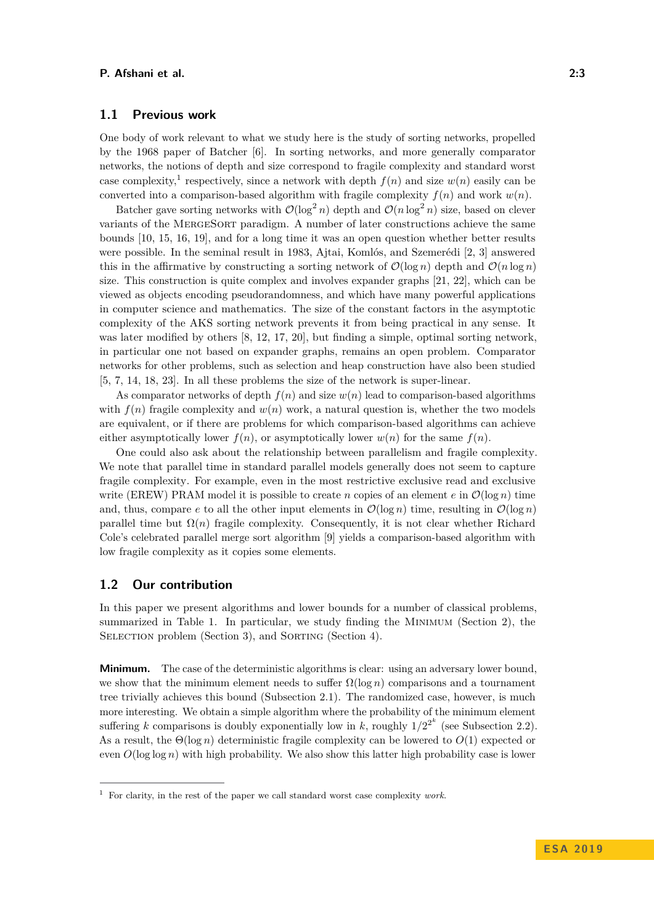## **1.1 Previous work**

One body of work relevant to what we study here is the study of sorting networks, propelled by the 1968 paper of Batcher [\[6\]](#page-17-0). In sorting networks, and more generally comparator networks, the notions of depth and size correspond to fragile complexity and standard worst case complexity,<sup>[1](#page-2-0)</sup> respectively, since a network with depth  $f(n)$  and size  $w(n)$  easily can be converted into a comparison-based algorithm with fragile complexity  $f(n)$  and work  $w(n)$ .

Batcher gave sorting networks with  $\mathcal{O}(\log^2 n)$  depth and  $\mathcal{O}(n \log^2 n)$  size, based on clever variants of the MergeSort paradigm. A number of later constructions achieve the same bounds [\[10,](#page-17-1) [15,](#page-17-2) [16,](#page-17-3) [19\]](#page-18-1), and for a long time it was an open question whether better results were possible. In the seminal result in 1983, Ajtai, Komlós, and Szemerédi [\[2,](#page-17-4) [3\]](#page-17-5) answered this in the affirmative by constructing a sorting network of  $\mathcal{O}(\log n)$  depth and  $\mathcal{O}(n \log n)$ size. This construction is quite complex and involves expander graphs [\[21,](#page-18-2) [22\]](#page-18-3), which can be viewed as objects encoding pseudorandomness, and which have many powerful applications in computer science and mathematics. The size of the constant factors in the asymptotic complexity of the AKS sorting network prevents it from being practical in any sense. It was later modified by others [\[8,](#page-17-6) [12,](#page-17-7) [17,](#page-17-8) [20\]](#page-18-4), but finding a simple, optimal sorting network, in particular one not based on expander graphs, remains an open problem. Comparator networks for other problems, such as selection and heap construction have also been studied [\[5,](#page-17-9) [7,](#page-17-10) [14,](#page-17-11) [18,](#page-17-12) [23\]](#page-18-5). In all these problems the size of the network is super-linear.

As comparator networks of depth  $f(n)$  and size  $w(n)$  lead to comparison-based algorithms with  $f(n)$  fragile complexity and  $w(n)$  work, a natural question is, whether the two models are equivalent, or if there are problems for which comparison-based algorithms can achieve either asymptotically lower  $f(n)$ , or asymptotically lower  $w(n)$  for the same  $f(n)$ .

One could also ask about the relationship between parallelism and fragile complexity. We note that parallel time in standard parallel models generally does not seem to capture fragile complexity. For example, even in the most restrictive exclusive read and exclusive write (EREW) PRAM model it is possible to create *n* copies of an element *e* in  $\mathcal{O}(\log n)$  time and, thus, compare *e* to all the other input elements in  $\mathcal{O}(\log n)$  time, resulting in  $\mathcal{O}(\log n)$ parallel time but  $\Omega(n)$  fragile complexity. Consequently, it is not clear whether Richard Cole's celebrated parallel merge sort algorithm [\[9\]](#page-17-13) yields a comparison-based algorithm with low fragile complexity as it copies some elements.

## **1.2 Our contribution**

In this paper we present algorithms and lower bounds for a number of classical problems, summarized in Table [1.](#page-3-0) In particular, we study finding the Minimum (Section [2\)](#page-4-0), the SELECTION problem (Section [3\)](#page-12-0), and SORTING (Section [4\)](#page-13-0).

**Minimum.** The case of the deterministic algorithms is clear: using an adversary lower bound, we show that the minimum element needs to suffer  $\Omega(\log n)$  comparisons and a tournament tree trivially achieves this bound (Subsection [2.1\)](#page-4-1). The randomized case, however, is much more interesting. We obtain a simple algorithm where the probability of the minimum element suffering *k* comparisons is doubly exponentially low in *k*, roughly  $1/2^{2^k}$  (see Subsection [2.2\)](#page-4-2). As a result, the Θ(log *n*) deterministic fragile complexity can be lowered to *O*(1) expected or even  $O(\log \log n)$  with high probability. We also show this latter high probability case is lower

<span id="page-2-0"></span><sup>1</sup> For clarity, in the rest of the paper we call standard worst case complexity *work*.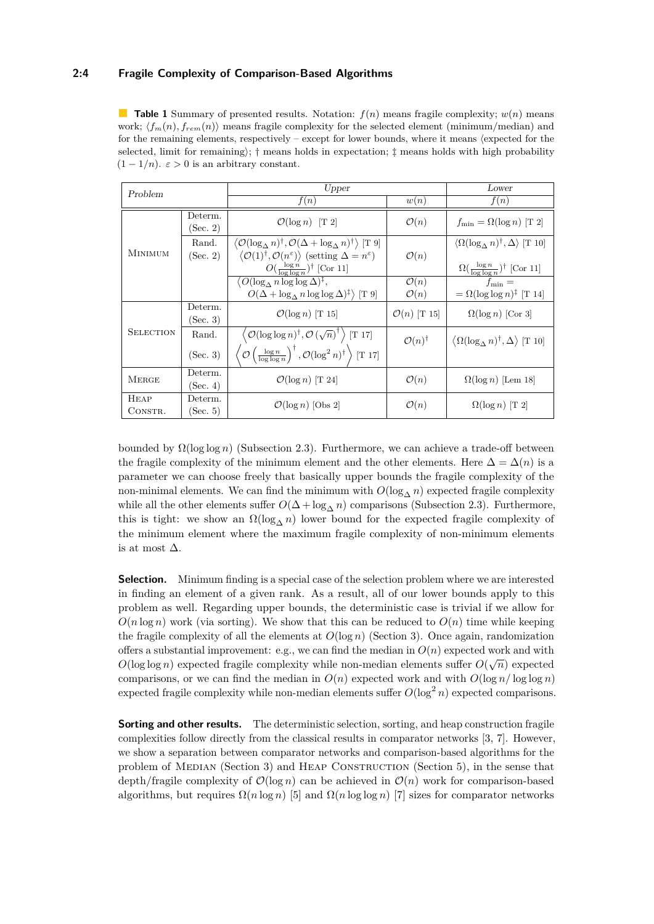## **2:4 Fragile Complexity of Comparison-Based Algorithms**

<span id="page-3-0"></span>**Table 1** Summary of presented results. Notation:  $f(n)$  means fragile complexity;  $w(n)$  means work;  $\langle f_m(n), f_{rem}(n) \rangle$  means fragile complexity for the selected element (minimum/median) and for the remaining elements, respectively – except for lower bounds, where it means (expected for the selected, limit for remaining);  $\dagger$  means holds in expectation;  $\dagger$  means holds with high probability  $(1 - 1/n)$ .  $\varepsilon > 0$  is an arbitrary constant.

| Problem                |                     | Upper                                                                                                                                                                                                                                                                               |                                                 | Lower                                                                                                                          |
|------------------------|---------------------|-------------------------------------------------------------------------------------------------------------------------------------------------------------------------------------------------------------------------------------------------------------------------------------|-------------------------------------------------|--------------------------------------------------------------------------------------------------------------------------------|
|                        |                     | f(n)                                                                                                                                                                                                                                                                                | w(n)                                            | f(n)                                                                                                                           |
| <b>MINIMUM</b>         | Determ.<br>(Sec. 2) | $\mathcal{O}(\log n)$ [T 2]                                                                                                                                                                                                                                                         | $\mathcal{O}(n)$                                | $f_{\min} = \Omega(\log n)$ [T 2]                                                                                              |
|                        | Rand.<br>(Sec. 2)   | $\langle \mathcal{O}(\log_{\Lambda} n)^{\dagger}, \mathcal{O}(\Delta + \log_{\Lambda} n)^{\dagger} \rangle$ [T 9]<br>$\langle \mathcal{O}(1)^\dagger, \mathcal{O}(n^\varepsilon) \rangle$ (setting $\Delta = n^\varepsilon$ )<br>$O(\frac{\log n}{\log \log n})^{\dagger}$ [Cor 11] | $\mathcal{O}(n)$                                | $\langle \Omega(\log_{\Lambda} n)^{\dagger}, \Delta \rangle$ [T 10]<br>$\Omega(\frac{\log n}{\log \log n})^{\dagger}$ [Cor 11] |
|                        |                     | $\langle O(\log_{\Delta} n \log \log \Delta)^{\ddagger}, \rangle$<br>$O(\Delta + \log_{\Delta} n \log \log \Delta)^{\ddagger}$ [T 9]                                                                                                                                                | $\overline{\mathcal{O}(n)}$<br>$\mathcal{O}(n)$ | $f_{\min} =$<br>$= \Omega(\log \log n)^{\ddagger}$ [T 14]                                                                      |
| <b>SELECTION</b>       | Determ.<br>(Sec. 3) | $\mathcal{O}(\log n)$ [T 15]                                                                                                                                                                                                                                                        | $\mathcal{O}(n)$ [T 15]                         | $\Omega(\log n)$ [Cor 3]                                                                                                       |
|                        | Rand.<br>(Sec. 3)   | $\mathcal{O}(\log \log n)^{\dagger}, \mathcal{O}(\sqrt{n})^{\dagger}$ [T 17]<br>$\left\langle \mathcal{O}\left(\frac{\log n}{\log \log n}\right)^{\dagger}, \mathcal{O}(\log^2 n)^{\dagger} \right\rangle$ [T 17]                                                                   | $\mathcal{O}(n)^{\dagger}$                      | $\langle \Omega(\log_{\Lambda} n)^{\dagger}, \Delta \rangle$ [T 10]                                                            |
| <b>MERGE</b>           | Determ.<br>(Sec. 4) | $\mathcal{O}(\log n)$ [T 24]                                                                                                                                                                                                                                                        | $\mathcal{O}(n)$                                | $\Omega(\log n)$ [Lem 18]                                                                                                      |
| <b>HEAP</b><br>CONSTR. | Determ.<br>(Sec. 5) | $\mathcal{O}(\log n)$ [Obs 2]                                                                                                                                                                                                                                                       | $\mathcal{O}(n)$                                | $\Omega(\log n)$ [T 2]                                                                                                         |

bounded by  $\Omega(\log \log n)$  (Subsection [2.3\)](#page-9-2). Furthermore, we can achieve a trade-off between the fragile complexity of the minimum element and the other elements. Here  $\Delta = \Delta(n)$  is a parameter we can choose freely that basically upper bounds the fragile complexity of the non-minimal elements. We can find the minimum with  $O(\log_{\Lambda} n)$  expected fragile complexity while all the other elements suffer  $O(\Delta + \log_{\Delta} n)$  comparisons (Subsection [2.3\)](#page-9-2). Furthermore, this is tight: we show an  $\Omega(\log_{\Delta} n)$  lower bound for the expected fragile complexity of the minimum element where the maximum fragile complexity of non-minimum elements is at most  $\Delta$ .

**Selection.** Minimum finding is a special case of the selection problem where we are interested in finding an element of a given rank. As a result, all of our lower bounds apply to this problem as well. Regarding upper bounds, the deterministic case is trivial if we allow for  $O(n \log n)$  work (via sorting). We show that this can be reduced to  $O(n)$  time while keeping the fragile complexity of all the elements at  $O(\log n)$  (Section [3\)](#page-12-0). Once again, randomization offers a substantial improvement: e.g., we can find the median in  $O(n)$  expected work and with  $O(\log \log n)$  expected fragile complexity while non-median elements suffer  $O(\sqrt{n})$  expected comparisons, or we can find the median in  $O(n)$  expected work and with  $O(\log n / \log \log n)$ expected fragile complexity while non-median elements suffer  $O(\log^2 n)$  expected comparisons.

**Sorting and other results.** The deterministic selection, sorting, and heap construction fragile complexities follow directly from the classical results in comparator networks [\[3,](#page-17-5) [7\]](#page-17-10). However, we show a separation between comparator networks and comparison-based algorithms for the problem of Median (Section [3\)](#page-12-0) and Heap Construction (Section [5\)](#page-16-2), in the sense that depth/fragile complexity of  $\mathcal{O}(\log n)$  can be achieved in  $\mathcal{O}(n)$  work for comparison-based algorithms, but requires  $\Omega(n \log n)$  [\[5\]](#page-17-9) and  $\Omega(n \log \log n)$  [\[7\]](#page-17-10) sizes for comparator networks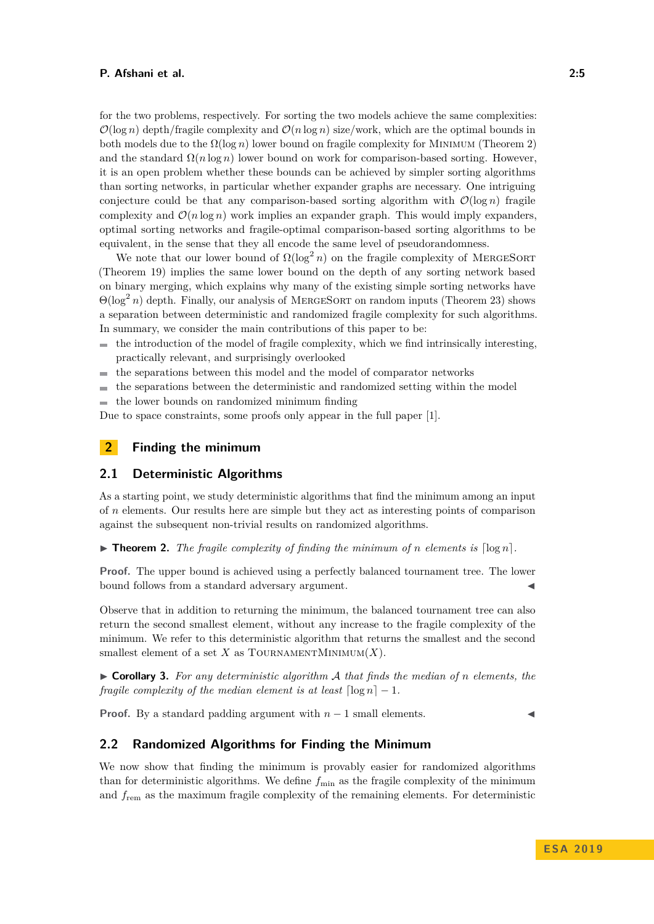for the two problems, respectively. For sorting the two models achieve the same complexities:  $\mathcal{O}(\log n)$  depth/fragile complexity and  $\mathcal{O}(n \log n)$  size/work, which are the optimal bounds in both models due to the  $\Omega(\log n)$  lower bound on fragile complexity for MINIMUM (Theorem [2\)](#page-4-3) and the standard  $\Omega(n \log n)$  lower bound on work for comparison-based sorting. However, it is an open problem whether these bounds can be achieved by simpler sorting algorithms than sorting networks, in particular whether expander graphs are necessary. One intriguing conjecture could be that any comparison-based sorting algorithm with  $\mathcal{O}(\log n)$  fragile complexity and  $\mathcal{O}(n \log n)$  work implies an expander graph. This would imply expanders, optimal sorting networks and fragile-optimal comparison-based sorting algorithms to be equivalent, in the sense that they all encode the same level of pseudorandomness.

We note that our lower bound of  $\Omega(\log^2 n)$  on the fragile complexity of MERGESORT (Theorem [19\)](#page-14-1) implies the same lower bound on the depth of any sorting network based on binary merging, which explains why many of the existing simple sorting networks have Θ(log<sup>2</sup> *n*) depth. Finally, our analysis of MergeSort on random inputs (Theorem [23\)](#page-15-0) shows a separation between deterministic and randomized fragile complexity for such algorithms. In summary, we consider the main contributions of this paper to be:

- the introduction of the model of fragile complexity, which we find intrinsically interesting, practically relevant, and surprisingly overlooked
- the separations between this model and the model of comparator networks  $\sim$
- the separations between the deterministic and randomized setting within the model ÷

the lower bounds on randomized minimum finding  $\blacksquare$ 

Due to space constraints, some proofs only appear in the full paper [\[1\]](#page-17-14).

## <span id="page-4-0"></span>**2 Finding the minimum**

## <span id="page-4-1"></span>**2.1 Deterministic Algorithms**

As a starting point, we study deterministic algorithms that find the minimum among an input of *n* elements. Our results here are simple but they act as interesting points of comparison against the subsequent non-trivial results on randomized algorithms.

<span id="page-4-3"></span> $\triangleright$  **Theorem 2.** *The fragile complexity of finding the minimum of <i>n elements is*  $\lceil \log n \rceil$ *.* 

**Proof.** The upper bound is achieved using a perfectly balanced tournament tree. The lower bound follows from a standard adversary argument.

Observe that in addition to returning the minimum, the balanced tournament tree can also return the second smallest element, without any increase to the fragile complexity of the minimum. We refer to this deterministic algorithm that returns the smallest and the second smallest element of a set  $X$  as TOURNAMENTMINIMUM $(X)$ .

<span id="page-4-4"></span>I **Corollary 3.** *For any deterministic algorithm* A *that finds the median of n elements, the fragile complexity of the median element is at least*  $\lceil \log n \rceil - 1$ *.* 

**Proof.** By a standard padding argument with  $n-1$  small elements.

## <span id="page-4-2"></span>**2.2 Randomized Algorithms for Finding the Minimum**

We now show that finding the minimum is provably easier for randomized algorithms than for deterministic algorithms. We define  $f_{\text{min}}$  as the fragile complexity of the minimum and *f*rem as the maximum fragile complexity of the remaining elements. For deterministic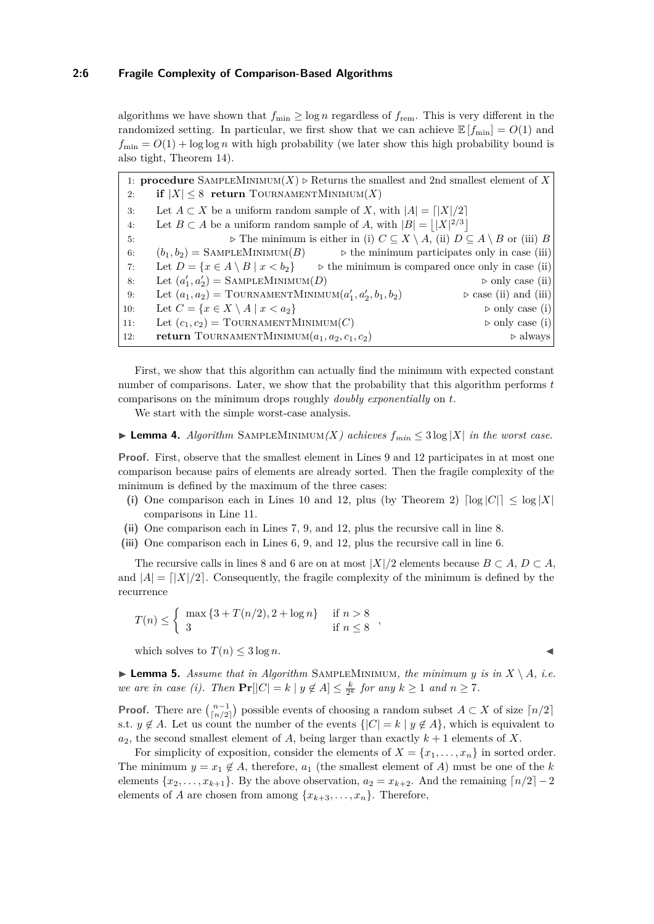algorithms we have shown that  $f_{\min} \geq \log n$  regardless of  $f_{\text{rem}}$ . This is very different in the randomized setting. In particular, we first show that we can achieve  $\mathbb{E}[f_{\min}] = O(1)$  and  $f_{\text{min}} = O(1) + \log \log n$  with high probability (we later show this high probability bound is also tight, Theorem [14\)](#page-12-1).

1: **procedure** SAMPLEMINIMUM $(X)$   $\triangleright$  Returns the smallest and 2nd smallest element of X 2: **if**  $|X| \leq 8$  **return** TOURNAMENTMINIMUM $(X)$ 3: Let  $A \subset X$  be a uniform random sample of *X*, with  $|A| = |X|/2$ 4: Let  $B \subset A$  be a uniform random sample of A, with  $|B| = |X|^{2/3}|$ 5: **...**  $\triangleright$  The minimum is either in (i)  $C \subset X \setminus A$ , (ii)  $D \subset A \setminus B$  or (iii) *B* 6:  $(b_1, b_2) = \text{SAMPLENINIMUM}(B)$  *b* the minimum participates only in case (iii) 7: Let  $D = \{x \in A \setminus B \mid x < b_2\}$  b the minimum is compared once only in case (ii) 8: Let  $(a'_1, a'_2)$  = SAMPLEMINIMUM(*D*)  $\triangleright$  only case (ii) 9: Let  $(a_1, a_2)$  = TOURNAMENTMINIMUM $(a'_1, a'_2)$  $\rhd$  case (ii) and (iii) 10: Let  $C = \{x \in X \setminus A \mid x < a_2\}$   $\triangleright$  only case (i) 11: Let  $(c_1, c_2)$  = TOURNAMENTMINIMUM(C)  $\rhd$  only case (i) 12: **return** TOURNAMENTMINIMUM $(a_1, a_2, c_1, c_2)$   $\triangleright$  always

First, we show that this algorithm can actually find the minimum with expected constant number of comparisons. Later, we show that the probability that this algorithm performs *t* comparisons on the minimum drops roughly *doubly exponentially* on *t*.

We start with the simple worst-case analysis.

### <span id="page-5-1"></span>▶ **Lemma 4.** *Algorithm* SAMPLEMINIMUM*(X)* achieves  $f_{min} \leq 3 \log |X|$  in the worst case.

**Proof.** First, observe that the smallest element in Lines [9](#page-4-2) and [12](#page-4-2) participates in at most one comparison because pairs of elements are already sorted. Then the fragile complexity of the minimum is defined by the maximum of the three cases:

- (i) One comparison each in Lines [10](#page-4-2) and [12,](#page-4-2) plus (by Theorem [2\)](#page-4-3)  $\lceil \log |C| \rceil \le \log |X|$ comparisons in Line [11.](#page-4-2)
- **(ii)** One comparison each in Lines [7, 9,](#page-4-2) and [12,](#page-4-2) plus the recursive call in line [8.](#page-4-2)
- **(iii)** One comparison each in Lines [6, 9,](#page-4-2) and [12,](#page-4-2) plus the recursive call in line [6.](#page-4-2)

The recursive calls in lines [8](#page-4-2) and [6](#page-4-2) are on at most  $|X|/2$  elements because  $B \subset A$ ,  $D \subset A$ , and  $|A| = |X|/2$ . Consequently, the fragile complexity of the minimum is defined by the recurrence

$$
T(n) \le \begin{cases} \max \{3 + T(n/2), 2 + \log n\} & \text{if } n > 8 \\ 3 & \text{if } n \le 8 \end{cases}
$$

which solves to  $T(n) \leq 3 \log n$ .

<span id="page-5-0"></span>**Example 5.** Assume that in Algorithm SAMPLEMINIMUM, the minimum y is in  $X \setminus A$ , i.e. *we are in case (i).* Then  $\Pr[|C| = k | y \notin A] \leq \frac{k}{2^k}$  for any  $k \geq 1$  and  $n \geq 7$ .

**Proof.** There are  $\binom{n-1}{\lfloor n/2 \rfloor}$  possible events of choosing a random subset  $A \subset X$  of size  $\lfloor n/2 \rfloor$ s.t.  $y \notin A$ . Let us count the number of the events  $\{|C| = k \mid y \notin A\}$ , which is equivalent to  $a_2$ , the second smallest element of *A*, being larger than exactly  $k+1$  elements of *X*.

For simplicity of exposition, consider the elements of  $X = \{x_1, \ldots, x_n\}$  in sorted order. The minimum  $y = x_1 \notin A$ , therefore,  $a_1$  (the smallest element of A) must be one of the k elements  $\{x_2, \ldots, x_{k+1}\}$ . By the above observation,  $a_2 = x_{k+2}$ . And the remaining  $\lceil n/2 \rceil - 2$ elements of *A* are chosen from among  $\{x_{k+3}, \ldots, x_n\}$ . Therefore,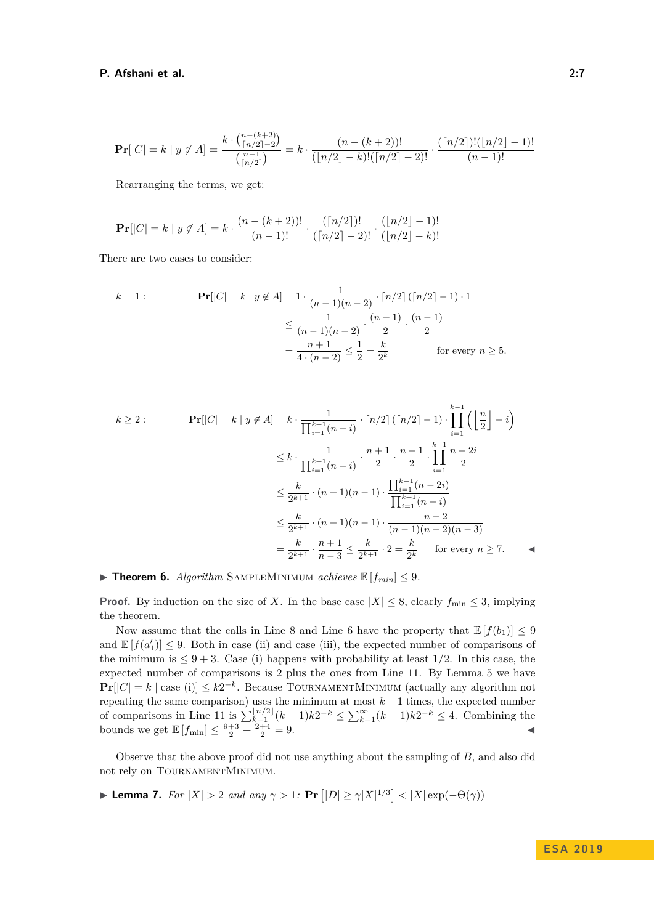$$
\Pr[|C| = k \mid y \notin A] = \frac{k \cdot {n - (k+2) \choose \lceil n/2 \rceil - 2}}{{n-1 \choose \lceil n/2 \rceil}} = k \cdot \frac{(n - (k+2))!}{(\lfloor n/2 \rfloor - k)! (\lceil n/2 \rceil - 2)!} \cdot \frac{(\lceil n/2 \rceil)! (\lfloor n/2 \rfloor - 1)!}{(n-1)!}
$$

Rearranging the terms, we get:

$$
\Pr[|C| = k \mid y \notin A] = k \cdot \frac{(n - (k + 2))!}{(n - 1)!} \cdot \frac{(\lceil n/2 \rceil)!}{(\lceil n/2 \rceil - 2)!} \cdot \frac{(\lfloor n/2 \rfloor - 1)!}{(\lfloor n/2 \rfloor - k)!}
$$

There are two cases to consider:

$$
k = 1: \qquad \mathbf{Pr}[|C| = k \mid y \notin A] = 1 \cdot \frac{1}{(n-1)(n-2)} \cdot \lceil n/2 \rceil (\lceil n/2 \rceil - 1) \cdot 1
$$

$$
\leq \frac{1}{(n-1)(n-2)} \cdot \frac{(n+1)}{2} \cdot \frac{(n-1)}{2}
$$

$$
= \frac{n+1}{4 \cdot (n-2)} \leq \frac{1}{2} = \frac{k}{2^k} \qquad \text{for every } n \geq 5.
$$

$$
k \ge 2: \qquad \mathbf{Pr}[|C| = k \mid y \notin A] = k \cdot \frac{1}{\prod_{i=1}^{k+1} (n-i)} \cdot \lceil n/2 \rceil (\lceil n/2 \rceil - 1) \cdot \prod_{i=1}^{k-1} \left( \left\lfloor \frac{n}{2} \right\rfloor - i \right)
$$

$$
\le k \cdot \frac{1}{\prod_{i=1}^{k+1} (n-i)} \cdot \frac{n+1}{2} \cdot \frac{n-1}{2} \cdot \prod_{i=1}^{k-1} \frac{n-2i}{2}
$$

$$
\le \frac{k}{2^{k+1}} \cdot (n+1)(n-1) \cdot \frac{\prod_{i=1}^{k-1} (n-2i)}{\prod_{i=1}^{k+1} (n-i)}
$$

$$
\le \frac{k}{2^{k+1}} \cdot (n+1)(n-1) \cdot \frac{n-2}{(n-1)(n-2)(n-3)}
$$

$$
= \frac{k}{2^{k+1}} \cdot \frac{n+1}{n-3} \le \frac{k}{2^{k+1}} \cdot 2 = \frac{k}{2^k} \quad \text{for every } n \ge 7.
$$

## <span id="page-6-1"></span>**Findment 6.** *Algorithm* SAMPLEMINIMUM *achieves*  $\mathbb{E}[f_{min}] \leq 9$ .

**Proof.** By induction on the size of *X*. In the base case  $|X| \leq 8$ , clearly  $f_{\min} \leq 3$ , implying the theorem.

Now assume that the calls in Line [8](#page-4-2) and Line [6](#page-4-2) have the property that  $\mathbb{E}[f(b_1)] \leq 9$ and  $\mathbb{E}[f(a_1')] \leq 9$ . Both in case (ii) and case (iii), the expected number of comparisons of the minimum is  $\leq 9+3$ . Case (i) happens with probability at least 1/2. In this case, the expected number of comparisons is 2 plus the ones from Line [11.](#page-4-2) By Lemma [5](#page-5-0) we have **Pr**[ $|C| = k$  | case (i)]  $\leq k2^{-k}$ . Because TOURNAMENTMINIMUM (actually any algorithm not repeating the same comparison) uses the minimum at most *k* − 1 times, the expected number of comparisons in Line [11](#page-4-2) is  $\sum_{k=1}^{\lfloor n/2 \rfloor} (k-1)k2^{-k} \leq \sum_{k=1}^{\infty} (k-1)k2^{-k} \leq 4$ . Combining the bounds we get  $\mathbb{E}[f_{\min}] \leq \frac{9+3}{2} + \frac{2+4}{2} = 9.$ 

Observe that the above proof did not use anything about the sampling of *B*, and also did not rely on TOURNAMENTMINIMUM.

<span id="page-6-0"></span>
$$
\blacktriangleright \textbf{ Lemma 7.} \ \ For \ |X| > 2 \ \ and \ \ any \ \gamma > 1 \colon \Pr\left[|D| \ge \gamma |X|^{1/3}\right] < |X| \exp(-\Theta(\gamma))
$$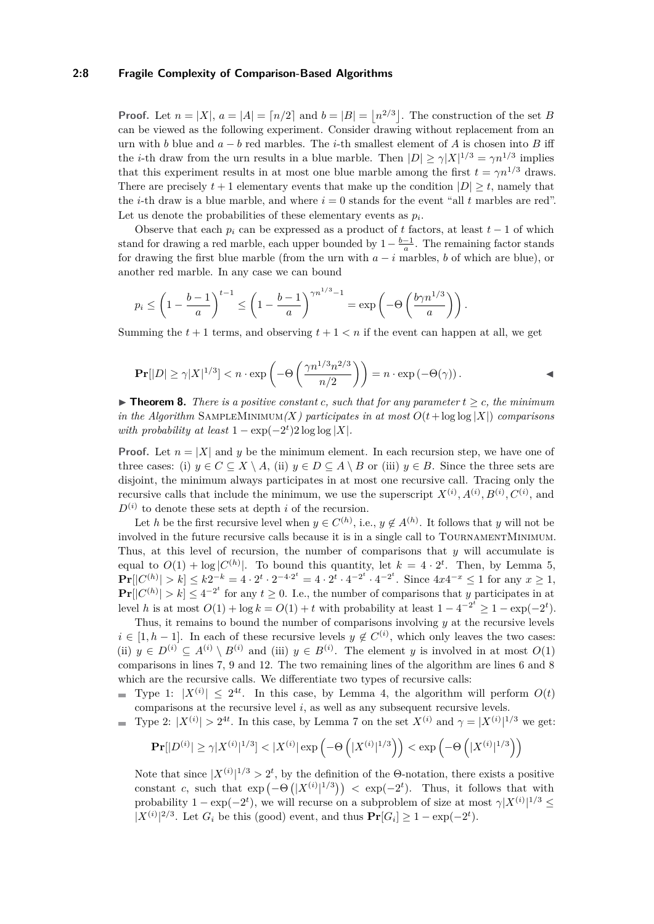#### **2:8 Fragile Complexity of Comparison-Based Algorithms**

**Proof.** Let  $n = |X|, a = |A| = \lfloor n/2 \rfloor$  and  $b = |B| = \lfloor n^{2/3} \rfloor$ . The construction of the set *B* can be viewed as the following experiment. Consider drawing without replacement from an urn with *b* blue and *a* − *b* red marbles. The *i*-th smallest element of *A* is chosen into *B* iff the *i*-th draw from the urn results in a blue marble. Then  $|D| \ge \gamma |X|^{1/3} = \gamma n^{1/3}$  implies that this experiment results in at most one blue marble among the first  $t = \gamma n^{1/3}$  draws. There are precisely  $t + 1$  elementary events that make up the condition  $|D| \geq t$ , namely that the *i*-th draw is a blue marble, and where  $i = 0$  stands for the event "all *t* marbles are red". Let us denote the probabilities of these elementary events as  $p_i$ .

Observe that each  $p_i$  can be expressed as a product of t factors, at least  $t-1$  of which stand for drawing a red marble, each upper bounded by  $1 - \frac{b-1}{a}$ . The remaining factor stands for drawing the first blue marble (from the urn with *a* − *i* marbles, *b* of which are blue), or another red marble. In any case we can bound

$$
p_i \le \left(1 - \frac{b-1}{a}\right)^{t-1} \le \left(1 - \frac{b-1}{a}\right)^{\gamma n^{1/3} - 1} = \exp\left(-\Theta\left(\frac{b\gamma n^{1/3}}{a}\right)\right).
$$

Summing the  $t + 1$  terms, and observing  $t + 1 < n$  if the event can happen at all, we get

$$
\Pr[|D| \ge \gamma |X|^{1/3}] < n \cdot \exp\left(-\Theta\left(\frac{\gamma n^{1/3} n^{2/3}}{n/2}\right)\right) = n \cdot \exp\left(-\Theta(\gamma)\right).
$$

<span id="page-7-0"></span>▶ **Theorem 8.** *There is a positive constant c, such that for any parameter*  $t ≥ c$ *, the minimum in the Algorithm* SAMPLEMINIMUM $(X)$  participates in at most  $O(t + \log \log |X|)$  comparisons *with probability at least*  $1 - \exp(-2^t)2 \log \log |X|$ *.* 

**Proof.** Let  $n = |X|$  and y be the minimum element. In each recursion step, we have one of three cases: (i)  $y \in C \subseteq X \setminus A$ , (ii)  $y \in D \subseteq A \setminus B$  or (iii)  $y \in B$ . Since the three sets are disjoint, the minimum always participates in at most one recursive call. Tracing only the recursive calls that include the minimum, we use the superscript  $X^{(i)}$ ,  $A^{(i)}$ ,  $B^{(i)}$ ,  $C^{(i)}$ , and  $D^{(i)}$  to denote these sets at depth *i* of the recursion.

Let *h* be the first recursive level when  $y \in C^{(h)}$ , i.e.,  $y \notin A^{(h)}$ . It follows that *y* will not be involved in the future recursive calls because it is in a single call to TournamentMinimum. Thus, at this level of recursion, the number of comparisons that *y* will accumulate is equal to  $O(1) + \log |C^{(h)}|$ . To bound this quantity, let  $k = 4 \cdot 2^t$ . Then, by Lemma [5,](#page-5-0)  $\Pr[|C^{(h)}| > k] \le k2^{-k} = 4 \cdot 2^t \cdot 2^{-4 \cdot 2^t} = 4 \cdot 2^t \cdot 4^{-2^t} \cdot 4^{-2^t}$ . Since  $4x4^{-x} \le 1$  for any  $x \ge 1$ ,  $\Pr[|C^{(h)}| > k] \leq 4^{-2^t}$  for any  $t \geq 0$ . I.e., the number of comparisons that *y* participates in at level *h* is at most  $O(1) + \log k = O(1) + t$  with probability at least  $1 - 4^{-2^t} \ge 1 - \exp(-2^t)$ .

Thus, it remains to bound the number of comparisons involving *y* at the recursive levels  $i \in [1, h-1]$ . In each of these recursive levels  $y \notin C^{(i)}$ , which only leaves the two cases: (ii)  $y \in D^{(i)} \subseteq A^{(i)} \setminus B^{(i)}$  and (iii)  $y \in B^{(i)}$ . The element *y* is involved in at most  $O(1)$ comparisons in lines [7, 9](#page-4-2) and [12.](#page-4-2) The two remaining lines of the algorithm are lines [6](#page-4-2) and [8](#page-4-2) which are the recursive calls. We differentiate two types of recursive calls:

Type 1:  $|X^{(i)}| \leq 2^{4t}$ . In this case, by Lemma [4,](#page-5-1) the algorithm will perform  $O(t)$ comparisons at the recursive level *i*, as well as any subsequent recursive levels.

Type 2:  $|X^{(i)}| > 2^{4t}$ . In this case, by Lemma [7](#page-6-0) on the set  $X^{(i)}$  and  $\gamma = |X^{(i)}|^{1/3}$  we get:

$$
\mathbf{Pr}[|D^{(i)}| \ge \gamma |X^{(i)}|^{1/3}] < |X^{(i)}| \exp\left(-\Theta\left(|X^{(i)}|^{1/3}\right)\right) < \exp\left(-\Theta\left(|X^{(i)}|^{1/3}\right)\right)
$$

Note that since  $|X^{(i)}|^{1/3} > 2^t$ , by the definition of the Θ-notation, there exists a positive constant *c*, such that  $\exp(-\Theta(|X^{(i)}|^{1/3})) < \exp(-2^t)$ . Thus, it follows that with probability  $1 - \exp(-2^t)$ , we will recurse on a subproblem of size at most  $\gamma |X^{(i)}|^{1/3} \leq$  $|X^{(i)}|^{2/3}$ . Let  $G_i$  be this (good) event, and thus  $\mathbf{Pr}[G_i] \geq 1 - \exp(-2^t)$ .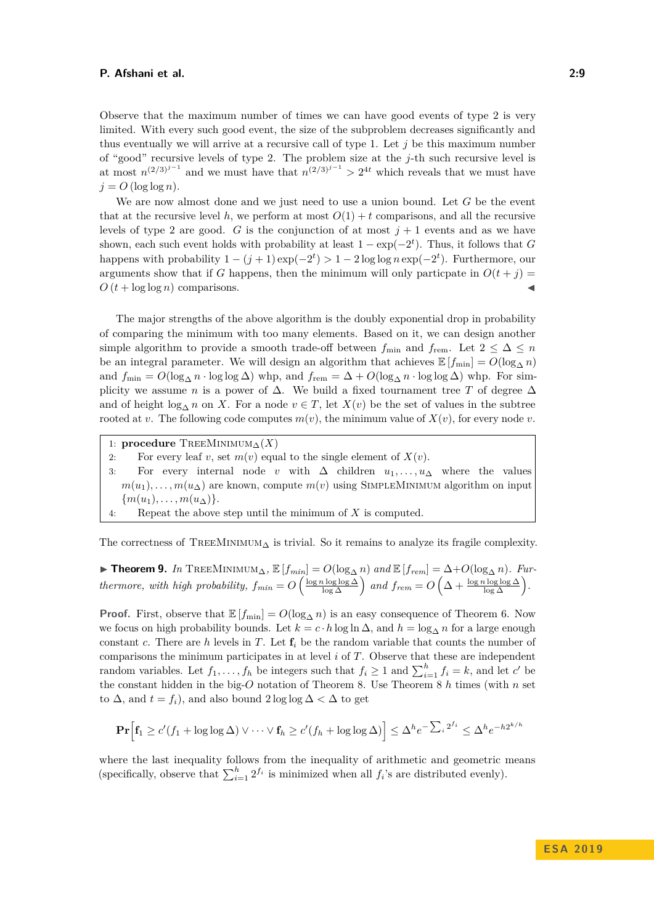Observe that the maximum number of times we can have good events of type 2 is very limited. With every such good event, the size of the subproblem decreases significantly and thus eventually we will arrive at a recursive call of type 1. Let *j* be this maximum number of "good" recursive levels of type 2. The problem size at the *j*-th such recursive level is at most  $n^{(2/3)^{j-1}}$  and we must have that  $n^{(2/3)^{j-1}} > 2^{4t}$  which reveals that we must have  $j = O(\log \log n)$ .

We are now almost done and we just need to use a union bound. Let *G* be the event that at the recursive level h, we perform at most  $O(1) + t$  comparisons, and all the recursive levels of type 2 are good. *G* is the conjunction of at most  $j + 1$  events and as we have shown, each such event holds with probability at least  $1 - \exp(-2^t)$ . Thus, it follows that *G* happens with probability  $1 - (j + 1) \exp(-2^t) > 1 - 2 \log \log n \exp(-2^t)$ . Furthermore, our arguments show that if *G* happens, then the minimum will only particpate in  $O(t + i)$  $O(t + \log \log n)$  comparisons.

The major strengths of the above algorithm is the doubly exponential drop in probability of comparing the minimum with too many elements. Based on it, we can design another simple algorithm to provide a smooth trade-off between  $f_{\min}$  and  $f_{\text{rem}}$ . Let  $2 \leq \Delta \leq n$ be an integral parameter. We will design an algorithm that achieves  $\mathbb{E}[f_{\min}] = O(\log_{\Lambda} n)$ and  $f_{\min} = O(\log_{\Delta} n \cdot \log \log \Delta)$  whp, and  $f_{\text{rem}} = \Delta + O(\log_{\Delta} n \cdot \log \log \Delta)$  whp. For simplicity we assume *n* is a power of  $\Delta$ . We build a fixed tournament tree T of degree  $\Delta$ and of height  $\log_{\Delta} n$  on *X*. For a node  $v \in T$ , let  $X(v)$  be the set of values in the subtree rooted at *v*. The following code computes  $m(v)$ , the minimum value of  $X(v)$ , for every node *v*.

1: **procedure**  $T$ REEMINIMUM<sub>△</sub> $(X)$ 

2: For every leaf *v*, set  $m(v)$  equal to the single element of  $X(v)$ .

3: For every internal node *v* with ∆ children *u*1*, . . . , u*<sup>∆</sup> where the values  $m(u_1), \ldots, m(u_\Delta)$  are known, compute  $m(v)$  using SIMPLEMINIMUM algorithm on input  $\{m(u_1), \ldots, m(u_{\Delta})\}.$ 

4: Repeat the above step until the minimum of *X* is computed.

The correctness of TREEMINIMUM<sub> $\Delta$ </sub> is trivial. So it remains to analyze its fragile complexity.

<span id="page-8-0"></span>▶ **Theorem 9.** *In* TREEMINIMUM<sub>△</sub>,  $\mathbb{E}[f_{min}] = O(\log_{\Delta} n)$  *and*  $\mathbb{E}[f_{rem}] = \Delta + O(\log_{\Delta} n)$ *. Furthermore, with high probability,*  $f_{min} = O\left(\frac{\log n \log \log \Delta}{\log \Delta}\right)$  and  $f_{rem} = O\left(\Delta + \frac{\log n \log \log \Delta}{\log \Delta}\right)$ .

**Proof.** First, observe that  $\mathbb{E}[f_{\min}] = O(\log_{\Delta} n)$  is an easy consequence of Theorem [6.](#page-6-1) Now we focus on high probability bounds. Let  $k = c \cdot h \log \ln \Delta$ , and  $h = \log_{\Delta} n$  for a large enough constant *c*. There are *h* levels in *T*. Let  $f_i$  be the random variable that counts the number of comparisons the minimum participates in at level *i* of *T*. Observe that these are independent random variables. Let  $f_1, \ldots, f_h$  be integers such that  $f_i \geq 1$  and  $\sum_{i=1}^h f_i = k$ , and let *c*' be the constant hidden in the big-*O* notation of Theorem [8.](#page-7-0) Use Theorem [8](#page-7-0) *h* times (with *n* set to  $\Delta$ , and  $t = f_i$ , and also bound 2 log log  $\Delta < \Delta$  to get

$$
\mathbf{Pr}\Big[\mathbf{f}_1 \ge c'(f_1 + \log \log \Delta) \vee \cdots \vee \mathbf{f}_h \ge c'(f_h + \log \log \Delta)\Big] \le \Delta^h e^{-\sum_i 2^{f_i}} \le \Delta^h e^{-h2^{k/h}}
$$

where the last inequality follows from the inequality of arithmetic and geometric means (specifically, observe that  $\sum_{i=1}^{h} 2^{f_i}$  is minimized when all  $f_i$ 's are distributed evenly).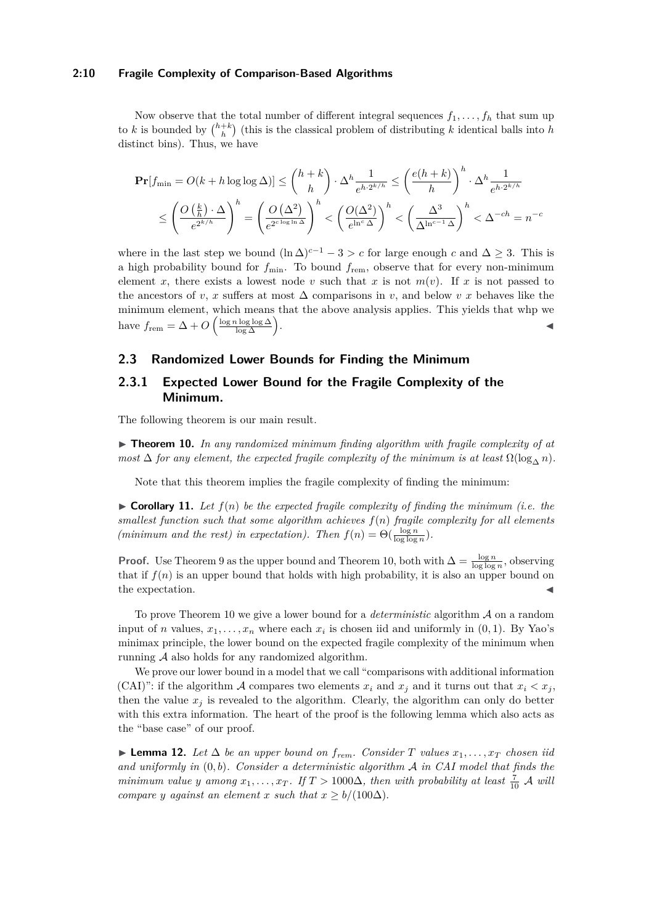#### **2:10 Fragile Complexity of Comparison-Based Algorithms**

Now observe that the total number of different integral sequences  $f_1, \ldots, f_h$  that sum up to *k* is bounded by  $\binom{h+k}{h}$  (this is the classical problem of distributing *k* identical balls into *h* distinct bins). Thus, we have

$$
\begin{split} \mathbf{Pr}[f_{\min} = O(k+h\log\log\Delta)] &\leq \binom{h+k}{h} \cdot \Delta^h \frac{1}{e^{h\cdot 2^{k/h}}} \leq \left(\frac{e(h+k)}{h}\right)^h \cdot \Delta^h \frac{1}{e^{h\cdot 2^{k/h}}} \\ &\leq \left(\frac{O\left(\frac{k}{h}\right)\cdot\Delta}{e^{2^{k/h}}}\right)^h = \left(\frac{O\left(\Delta^2\right)}{e^{2^{c\log\ln\Delta}}}\right)^h < \left(\frac{O(\Delta^2)}{e^{\ln^c\Delta}}\right)^h < \left(\frac{\Delta^3}{\Delta^{\ln^{c-1}\Delta}}\right)^h < \Delta^{-ch} = n^{-c} \end{split}
$$

where in the last step we bound  $(\ln \Delta)^{c-1} - 3 > c$  for large enough *c* and  $\Delta \geq 3$ . This is a high probability bound for  $f_{\text{min}}$ . To bound  $f_{\text{rem}}$ , observe that for every non-minimum element *x*, there exists a lowest node *v* such that *x* is not  $m(v)$ . If *x* is not passed to the ancestors of *v*, *x* suffers at most  $\Delta$  comparisons in *v*, and below *v x* behaves like the minimum element, which means that the above analysis applies. This yields that whp we have  $f_{\text{rem}} = \Delta + O\left(\frac{\log n \log \log \Delta}{\log \Delta}\right)$ . J

## <span id="page-9-2"></span>**2.3 Randomized Lower Bounds for Finding the Minimum**

# **2.3.1 Expected Lower Bound for the Fragile Complexity of the Minimum.**

The following theorem is our main result.

<span id="page-9-0"></span> $\triangleright$  **Theorem 10.** In any randomized minimum finding algorithm with fragile complexity of at *most*  $\Delta$  *for any element, the expected fragile complexity of the minimum is at least*  $\Omega(\log_{\Delta} n)$ *.* 

Note that this theorem implies the fragile complexity of finding the minimum:

<span id="page-9-1"></span> $\triangleright$  **Corollary 11.** Let  $f(n)$  be the expected fragile complexity of finding the minimum (i.e. the *smallest function such that some algorithm achieves f*(*n*) *fragile complexity for all elements (minimum and the rest) in expectation). Then*  $f(n) = \Theta(\frac{\log n}{\log \log n})$ *.* 

**Proof.** Use Theorem [9](#page-8-0) as the upper bound and Theorem [10,](#page-9-0) both with  $\Delta = \frac{\log n}{\log \log n}$ , observing that if  $f(n)$  is an upper bound that holds with high probability, it is also an upper bound on the expectation.

To prove Theorem [10](#page-9-0) we give a lower bound for a *deterministic* algorithm A on a random input of *n* values,  $x_1, \ldots, x_n$  where each  $x_i$  is chosen iid and uniformly in  $(0, 1)$ . By Yao's minimax principle, the lower bound on the expected fragile complexity of the minimum when running A also holds for any randomized algorithm.

We prove our lower bound in a model that we call "comparisons with additional information (CAI)": if the algorithm A compares two elements  $x_i$  and  $x_j$  and it turns out that  $x_i < x_j$ , then the value  $x_j$  is revealed to the algorithm. Clearly, the algorithm can only do better with this extra information. The heart of the proof is the following lemma which also acts as the "base case" of our proof.

<span id="page-9-3"></span>▶ **Lemma 12.** *Let*  $\Delta$  *be an upper bound on*  $f_{rem}$ *. Consider*  $T$  *values*  $x_1, \ldots, x_T$  *chosen iid and uniformly in* (0*, b*)*. Consider a deterministic algorithm* A *in CAI model that finds the minimum value y among*  $x_1, \ldots, x_T$ . If  $T > 1000\Delta$ , then with probability at least  $\frac{7}{10}$  *A will compare y against an element x such that*  $x \geq b/(100\Delta)$ *.*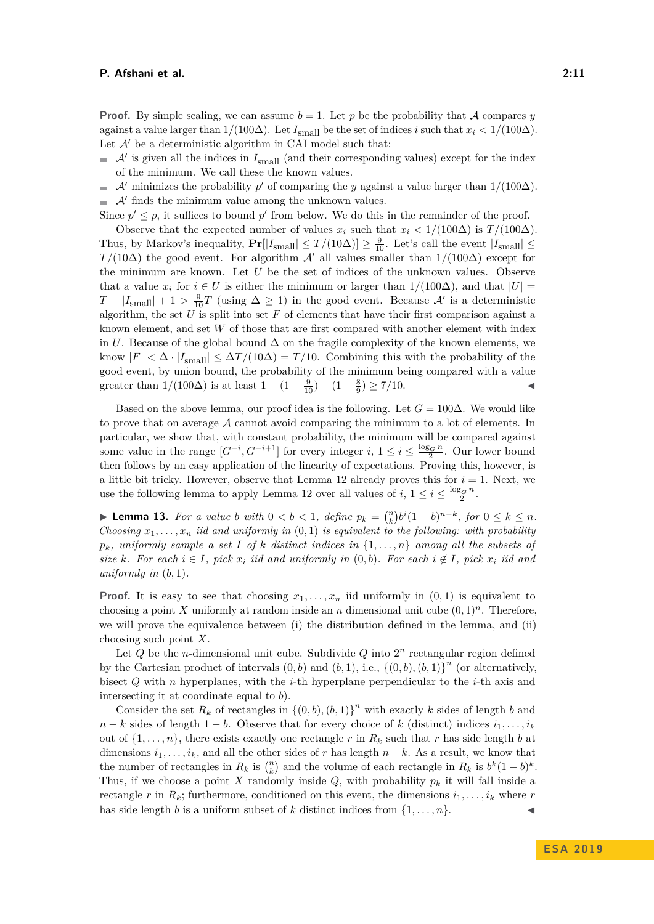**Proof.** By simple scaling, we can assume  $b = 1$ . Let p be the probability that A compares y against a value larger than  $1/(100\Delta)$ . Let  $I_{\text{small}}$  be the set of indices *i* such that  $x_i < 1/(100\Delta)$ . Let  $\mathcal{A}'$  be a deterministic algorithm in CAI model such that:

- $\mathcal{A}'$  is given all the indices in  $I_{\text{small}}$  (and their corresponding values) except for the index of the minimum. We call these the known values.
- A' minimizes the probability  $p'$  of comparing the *y* against a value larger than  $1/(100\Delta)$ .  $\mathcal{A}'$  finds the minimum value among the unknown values.

Since  $p' \leq p$ , it suffices to bound  $p'$  from below. We do this in the remainder of the proof.

Observe that the expected number of values  $x_i$  such that  $x_i < 1/(100\Delta)$  is  $T/(100\Delta)$ . Thus, by Markov's inequality,  $Pr[|I_{\text{small}}| \leq T/(10\Delta)] \geq \frac{9}{10}$ . Let's call the event  $|I_{\text{small}}| \leq$ *T/*(10∆) the good event. For algorithm A' all values smaller than  $1/(100\Delta)$  except for the minimum are known. Let *U* be the set of indices of the unknown values. Observe that a value  $x_i$  for  $i \in U$  is either the minimum or larger than  $1/(100\Delta)$ , and that  $|U|$  $T - |I_{\text{small}}| + 1 > \frac{9}{10}T$  (using  $\Delta \ge 1$ ) in the good event. Because  $\mathcal{A}'$  is a deterministic algorithm, the set  $U$  is split into set  $F$  of elements that have their first comparison against a known element, and set *W* of those that are first compared with another element with index in *U*. Because of the global bound  $\Delta$  on the fragile complexity of the known elements, we know  $|F| < \Delta \cdot |I_{\text{small}}| \leq \Delta T/(10\Delta) = T/10$ . Combining this with the probability of the good event, by union bound, the probability of the minimum being compared with a value greater than  $1/(100\Delta)$  is at least  $1-(1-\frac{9}{10})-(1-\frac{8}{9}) \ge 7/10$ .

Based on the above lemma, our proof idea is the following. Let  $G = 100\Delta$ . We would like to prove that on average  $A$  cannot avoid comparing the minimum to a lot of elements. In particular, we show that, with constant probability, the minimum will be compared against some value in the range  $[G^{-i}, G^{-i+1}]$  for every integer  $i, 1 \le i \le \frac{\log_G n}{2}$ . Our lower bound then follows by an easy application of the linearity of expectations. Proving this, however, is a little bit tricky. However, observe that Lemma [12](#page-9-3) already proves this for  $i = 1$ . Next, we use the following lemma to apply Lemma [12](#page-9-3) over all values of  $i, 1 \leq i \leq \frac{\log_G n}{2}$ .

<span id="page-10-0"></span>▶ **Lemma 13.** *For a value b with*  $0 < b < 1$ , *define*  $p_k = {n \choose k} b^i (1-b)^{n-k}$ , *for*  $0 \le k \le n$ . *Choosing*  $x_1, \ldots, x_n$  *iid and uniformly in*  $(0,1)$  *is equivalent to the following: with probability*  $p_k$ *, uniformly sample a set I of k distinct indices in*  $\{1, \ldots, n\}$  *among all the subsets of size*  $k$ *. For each*  $i \in I$ *, pick*  $x_i$  *iid and uniformly in*  $(0, b)$ *. For each*  $i \notin I$ *, pick*  $x_i$  *iid and uniformly in*  $(b, 1)$ *.* 

**Proof.** It is easy to see that choosing  $x_1, \ldots, x_n$  iid uniformly in  $(0,1)$  is equivalent to choosing a point *X* uniformly at random inside an *n* dimensional unit cube  $(0,1)^n$ . Therefore, we will prove the equivalence between (i) the distribution defined in the lemma, and (ii) choosing such point *X*.

Let Q be the *n*-dimensional unit cube. Subdivide Q into  $2<sup>n</sup>$  rectangular region defined by the Cartesian product of intervals  $(0, b)$  and  $(b, 1)$ , i.e.,  $\{(0, b), (b, 1)\}^n$  (or alternatively, bisect *Q* with *n* hyperplanes, with the *i*-th hyperplane perpendicular to the *i*-th axis and intersecting it at coordinate equal to *b*).

Consider the set  $R_k$  of rectangles in  $\{(0, b), (b, 1)\}^n$  with exactly  $k$  sides of length  $b$  and  $n - k$  sides of length  $1 - b$ . Observe that for every choice of *k* (distinct) indices  $i_1, \ldots, i_k$ out of  $\{1, \ldots, n\}$ , there exists exactly one rectangle r in  $R_k$  such that r has side length *b* at dimensions  $i_1, \ldots, i_k$ , and all the other sides of *r* has length  $n - k$ . As a result, we know that the number of rectangles in  $R_k$  is  $\binom{n}{k}$  and the volume of each rectangle in  $R_k$  is  $b^k(1-b)^k$ . Thus, if we choose a point X randomly inside  $Q$ , with probability  $p_k$  it will fall inside a rectangle *r* in  $R_k$ ; furthermore, conditioned on this event, the dimensions  $i_1, \ldots, i_k$  where *r* has side length *b* is a uniform subset of *k* distinct indices from  $\{1, \ldots, n\}$ .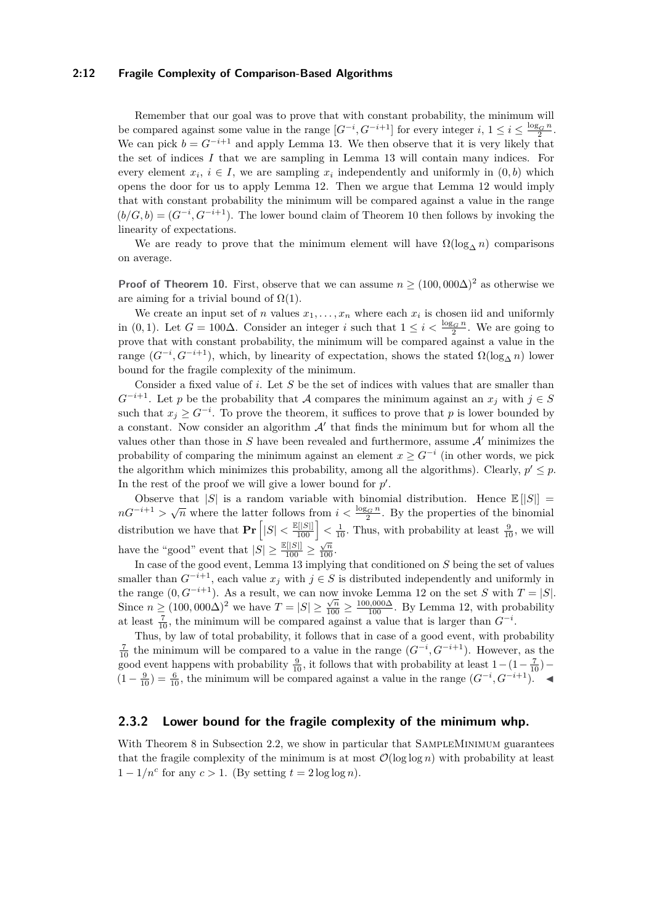#### **2:12 Fragile Complexity of Comparison-Based Algorithms**

Remember that our goal was to prove that with constant probability, the minimum will be compared against some value in the range  $[G^{-i}, G^{-i+1}]$  for every integer  $i, 1 \le i \le \frac{\log_G n}{2}$ . We can pick  $b = G^{-i+1}$  and apply Lemma [13.](#page-10-0) We then observe that it is very likely that the set of indices *I* that we are sampling in Lemma [13](#page-10-0) will contain many indices. For every element  $x_i$ ,  $i \in I$ , we are sampling  $x_i$  independently and uniformly in  $(0, b)$  which opens the door for us to apply Lemma [12.](#page-9-3) Then we argue that Lemma [12](#page-9-3) would imply that with constant probability the minimum will be compared against a value in the range  $(b/G, b) = (G^{-i}, G^{-i+1})$ . The lower bound claim of Theorem [10](#page-9-0) then follows by invoking the linearity of expectations.

We are ready to prove that the minimum element will have  $\Omega(\log_{\Delta} n)$  comparisons on average.

**Proof of Theorem [10.](#page-9-0)** First, observe that we can assume  $n \geq (100,000\Delta)^2$  as otherwise we are aiming for a trivial bound of  $\Omega(1)$ .

We create an input set of *n* values  $x_1, \ldots, x_n$  where each  $x_i$  is chosen iid and uniformly in (0,1). Let  $G = 100\Delta$ . Consider an integer *i* such that  $1 \leq i < \frac{\log_G n}{2}$ . We are going to prove that with constant probability, the minimum will be compared against a value in the range  $(G^{-i}, G^{-i+1})$ , which, by linearity of expectation, shows the stated  $\Omega(\log_{\Delta} n)$  lower bound for the fragile complexity of the minimum.

Consider a fixed value of *i*. Let *S* be the set of indices with values that are smaller than *G*<sup>−*i*+1</sup>. Let *p* be the probability that *A* compares the minimum against an *x<sub>j</sub>* with *j* ∈ *S* such that  $x_j \geq G^{-i}$ . To prove the theorem, it suffices to prove that *p* is lower bounded by a constant. Now consider an algorithm  $A'$  that finds the minimum but for whom all the values other than those in  $S$  have been revealed and furthermore, assume  $A'$  minimizes the probability of comparing the minimum against an element  $x \geq G^{-i}$  (in other words, we pick the algorithm which minimizes this probability, among all the algorithms). Clearly,  $p' \leq p$ . In the rest of the proof we will give a lower bound for  $p'$ .

Observe that |*S*| is a random variable with binomial distribution. Hence  $\mathbb{E} [S] =$  $nG^{-i+1}$  *>*  $\sqrt{n}$  where the latter follows from  $i < \frac{\log_G n}{2}$ . By the properties of the binomial distribution we have that  $\Pr\left[|S| < \frac{\mathbb{E}[|S|]}{100}\right] < \frac{1}{10}$ . Thus, with probability at least  $\frac{9}{10}$ , we will have the "good" event that  $|S| \ge \frac{\mathbb{E}[|S|]}{100} \ge \frac{\sqrt{n}}{100}$ .

In case of the good event, Lemma [13](#page-10-0) implying that conditioned on *S* being the set of values smaller than  $G^{-i+1}$ , each value  $x_j$  with  $j \in S$  is distributed independently and uniformly in the range  $(0, G^{-i+1})$ . As a result, we can now invoke Lemma [12](#page-9-3) on the set *S* with  $T = |S|$ . Since  $n \geq (100,000\Delta)^2$  we have  $T = |S| \geq \frac{\sqrt{n}}{100} \geq \frac{100,000\Delta}{100}$ . By Lemma [12,](#page-9-3) with probability at least  $\frac{7}{10}$ , the minimum will be compared against a value that is larger than  $G^{-i}$ .

Thus, by law of total probability, it follows that in case of a good event, with probability  $\frac{7}{10}$  the minimum will be compared to a value in the range  $(G^{-i}, G^{-i+1})$ . However, as the good event happens with probability  $\frac{9}{10}$ , it follows that with probability at least  $1-(1-\frac{7}{10})$  –  $(1 - \frac{9}{10}) = \frac{6}{10}$ , the minimum will be compared against a value in the range  $(G^{-i}, G^{-i+1})$ . ◄

# **2.3.2 Lower bound for the fragile complexity of the minimum whp.**

With Theorem [8](#page-7-0) in Subsection [2.2,](#page-4-2) we show in particular that SAMPLEMINIMUM guarantees that the fragile complexity of the minimum is at most  $\mathcal{O}(\log \log n)$  with probability at least  $1 - 1/n^c$  for any  $c > 1$ . (By setting  $t = 2 \log \log n$ ).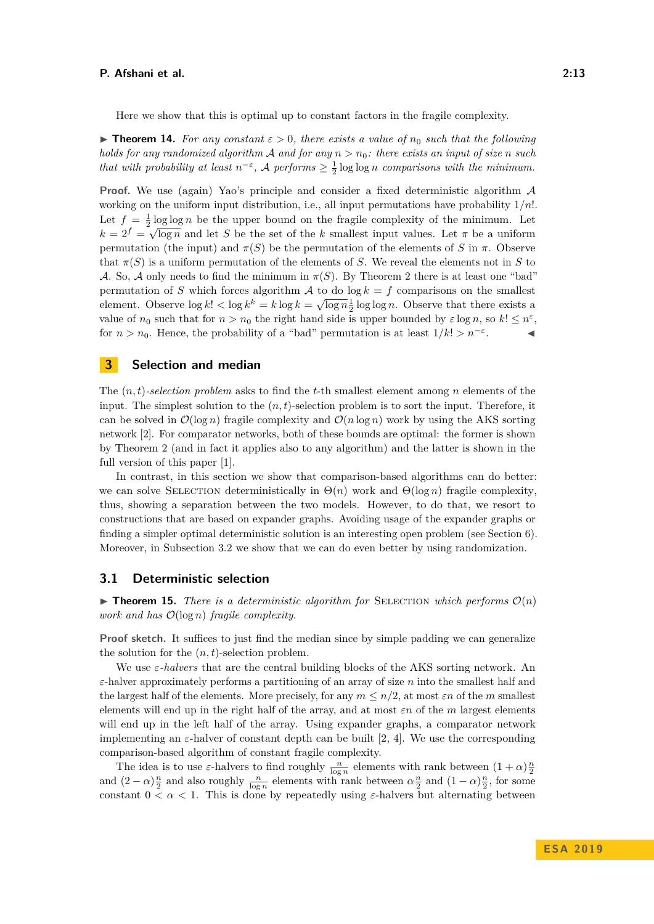Here we show that this is optimal up to constant factors in the fragile complexity.

<span id="page-12-1"></span>**Figure 14.** For any constant  $\varepsilon > 0$ , there exists a value of  $n_0$  such that the following *holds for any randomized algorithm* A *and for any n > n*0*: there exists an input of size n such that with probability at least*  $n^{-\varepsilon}$ , A *performs*  $\geq \frac{1}{2} \log \log n$  *comparisons with the minimum.* 

**Proof.** We use (again) Yao's principle and consider a fixed deterministic algorithm A working on the uniform input distribution, i.e., all input permutations have probability 1*/n*!. Let  $f = \frac{1}{2} \log \log n$  be the upper bound on the fragile complexity of the minimum. Let  $k = 2<sup>f</sup> = \sqrt{\log n}$  and let *S* be the set of the *k* smallest input values. Let *π* be a uniform permutation (the input) and  $\pi(S)$  be the permutation of the elements of *S* in  $\pi$ . Observe that  $\pi(S)$  is a uniform permutation of the elements of *S*. We reveal the elements not in *S* to A. So, A only needs to find the minimum in  $\pi(S)$ . By Theorem [2](#page-4-3) there is at least one "bad" permutation of *S* which forces algorithm *A* to do  $\log k = f$  comparisons on the smallest element. Observe  $\log k! < \log k^k = k \log k = \sqrt{\log n} \frac{1}{2} \log \log n$ . Observe that there exists a value of  $n_0$  such that for  $n > n_0$  the right hand side is upper bounded by  $\varepsilon \log n$ , so  $k! \leq n^{\varepsilon}$ , for  $n > n_0$ . Hence, the probability of a "bad" permutation is at least  $1/k! > n^{-\epsilon}$ .  $\mathcal{L} = \mathcal{L}$ 

# <span id="page-12-0"></span>**3 Selection and median**

The (*n, t*)*-selection problem* asks to find the *t*-th smallest element among *n* elements of the input. The simplest solution to the  $(n, t)$ -selection problem is to sort the input. Therefore, it can be solved in  $\mathcal{O}(\log n)$  fragile complexity and  $\mathcal{O}(n \log n)$  work by using the AKS sorting network [\[2\]](#page-17-4). For comparator networks, both of these bounds are optimal: the former is shown by Theorem [2](#page-4-3) (and in fact it applies also to any algorithm) and the latter is shown in the full version of this paper [\[1\]](#page-17-14).

In contrast, in this section we show that comparison-based algorithms can do better: we can solve SELECTION deterministically in  $\Theta(n)$  work and  $\Theta(\log n)$  fragile complexity, thus, showing a separation between the two models. However, to do that, we resort to constructions that are based on expander graphs. Avoiding usage of the expander graphs or finding a simpler optimal deterministic solution is an interesting open problem (see Section [6\)](#page-16-3). Moreover, in Subsection [3.2](#page-13-2) we show that we can do even better by using randomization.

## **3.1 Deterministic selection**

<span id="page-12-2"></span>**Findamentary 15.** There is a deterministic algorithm for SELECTION which performs  $\mathcal{O}(n)$ *work and has* O(log *n*) *fragile complexity.*

**Proof sketch.** It suffices to just find the median since by simple padding we can generalize the solution for the  $(n, t)$ -selection problem.

We use *ε-halvers* that are the central building blocks of the AKS sorting network. An *ε*-halver approximately performs a partitioning of an array of size *n* into the smallest half and the largest half of the elements. More precisely, for any  $m \leq n/2$ , at most  $\varepsilon n$  of the *m* smallest elements will end up in the right half of the array, and at most *εn* of the *m* largest elements will end up in the left half of the array. Using expander graphs, a comparator network implementing an  $\varepsilon$ -halver of constant depth can be built [\[2,](#page-17-4) [4\]](#page-17-15). We use the corresponding comparison-based algorithm of constant fragile complexity.

The idea is to use  $\varepsilon$ -halvers to find roughly  $\frac{n}{\log n}$  elements with rank between  $(1 + \alpha)\frac{n}{2}$ <br>and  $(2 - \alpha)\frac{n}{2}$  and also roughly  $\frac{n}{\log n}$  elements with rank between  $\alpha\frac{n}{2}$  and  $(1 - \alpha)\frac{n}{2}$ , for some constant  $0 < \alpha < 1$ . This is done by repeatedly using  $\varepsilon$ -halvers but alternating between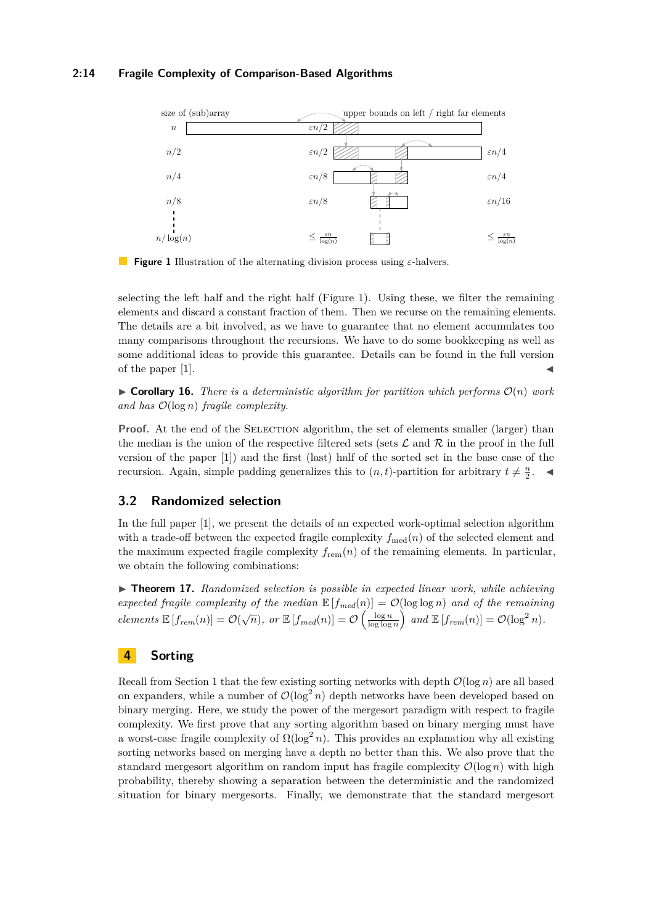<span id="page-13-3"></span>

**Figure 1** Illustration of the alternating division process using *ε*-halvers.

selecting the left half and the right half (Figure [1\)](#page-13-3). Using these, we filter the remaining elements and discard a constant fraction of them. Then we recurse on the remaining elements. The details are a bit involved, as we have to guarantee that no element accumulates too many comparisons throughout the recursions. We have to do some bookkeeping as well as some additional ideas to provide this guarantee. Details can be found in the full version of the paper [\[1\]](#page-17-14).

 $\triangleright$  **Corollary 16.** *There is a deterministic algorithm for partition which performs*  $\mathcal{O}(n)$  *work and has* O(log *n*) *fragile complexity.*

**Proof.** At the end of the SELECTION algorithm, the set of elements smaller (larger) than the median is the union of the respective filtered sets (sets  $\mathcal L$  and  $\mathcal R$  in the proof in the full version of the paper [\[1\]](#page-17-14)) and the first (last) half of the sorted set in the base case of the recursion. Again, simple padding generalizes this to  $(n, t)$ -partition for arbitrary  $t \neq \frac{n}{2}$ .

## <span id="page-13-2"></span>**3.2 Randomized selection**

In the full paper [\[1\]](#page-17-14), we present the details of an expected work-optimal selection algorithm with a trade-off between the expected fragile complexity  $f_{\text{med}}(n)$  of the selected element and the maximum expected fragile complexity  $f_{\rm rem}(n)$  of the remaining elements. In particular, we obtain the following combinations:

<span id="page-13-1"></span>I **Theorem 17.** *Randomized selection is possible in expected linear work, while achieving expected fragile complexity of the median*  $\mathbb{E}[f_{med}(n)] = \mathcal{O}(\log \log n)$  *and of the remaining elements*  $\mathbb{E}[f_{rem}(n)] = \mathcal{O}(\sqrt{n})$ , or  $\mathbb{E}[f_{med}(n)] = \mathcal{O}\left(\frac{\log n}{\log \log n}\right)$  and  $\mathbb{E}[f_{rem}(n)] = \mathcal{O}(\log^2 n)$ .

# <span id="page-13-0"></span>**4 Sorting**

Recall from Section [1](#page-1-0) that the few existing sorting networks with depth  $\mathcal{O}(\log n)$  are all based on expanders, while a number of  $\mathcal{O}(\log^2 n)$  depth networks have been developed based on binary merging. Here, we study the power of the mergesort paradigm with respect to fragile complexity. We first prove that any sorting algorithm based on binary merging must have a worst-case fragile complexity of  $\Omega(\log^2 n)$ . This provides an explanation why all existing sorting networks based on merging have a depth no better than this. We also prove that the standard mergesort algorithm on random input has fragile complexity  $\mathcal{O}(\log n)$  with high probability, thereby showing a separation between the deterministic and the randomized situation for binary mergesorts. Finally, we demonstrate that the standard mergesort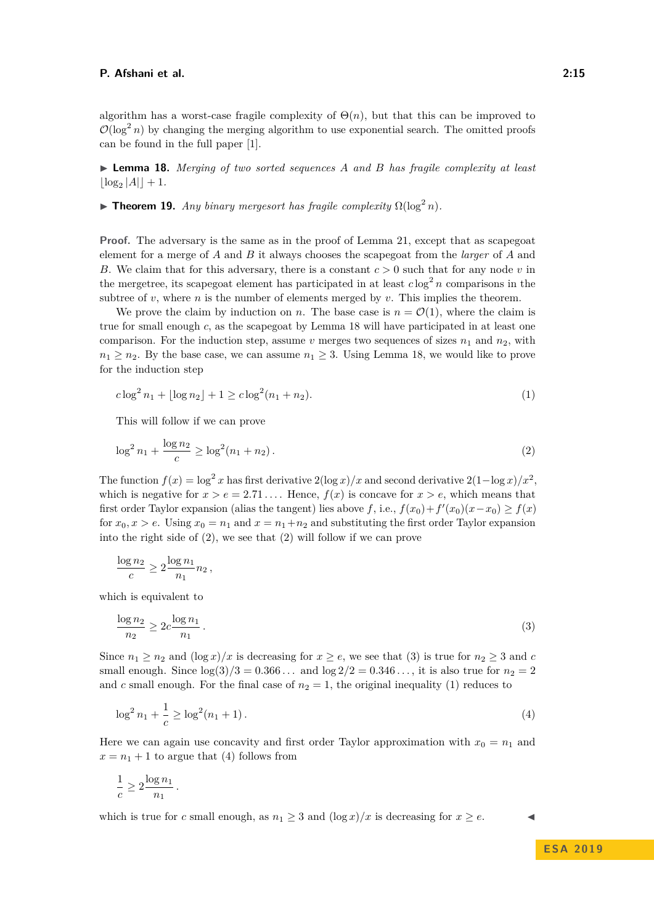algorithm has a worst-case fragile complexity of  $\Theta(n)$ , but that this can be improved to  $\mathcal{O}(\log^2 n)$  by changing the merging algorithm to use exponential search. The omitted proofs can be found in the full paper [\[1\]](#page-17-14).

<span id="page-14-0"></span>I **Lemma 18.** *Merging of two sorted sequences A and B has fragile complexity at least*  $\lfloor \log_2 |A| \rfloor + 1.$ 

<span id="page-14-1"></span>**Fineorem 19.** *Any binary mergesort has fragile complexity*  $\Omega(\log^2 n)$ *.* 

**Proof.** The adversary is the same as in the proof of Lemma [21,](#page-15-1) except that as scapegoat element for a merge of *A* and *B* it always chooses the scapegoat from the *larger* of *A* and *B*. We claim that for this adversary, there is a constant *c >* 0 such that for any node *v* in the mergetree, its scapegoat element has participated in at least  $c \log^2 n$  comparisons in the subtree of  $v$ , where  $n$  is the number of elements merged by  $v$ . This implies the theorem.

We prove the claim by induction on *n*. The base case is  $n = \mathcal{O}(1)$ , where the claim is true for small enough *c*, as the scapegoat by Lemma [18](#page-14-0) will have participated in at least one comparison. For the induction step, assume  $v$  merges two sequences of sizes  $n_1$  and  $n_2$ , with  $n_1 \geq n_2$ . By the base case, we can assume  $n_1 \geq 3$ . Using Lemma [18,](#page-14-0) we would like to prove for the induction step

<span id="page-14-4"></span><span id="page-14-2"></span>
$$
c \log^2 n_1 + \lfloor \log n_2 \rfloor + 1 \ge c \log^2 (n_1 + n_2). \tag{1}
$$

This will follow if we can prove

$$
\log^2 n_1 + \frac{\log n_2}{c} \ge \log^2 (n_1 + n_2). \tag{2}
$$

The function  $f(x) = \log^2 x$  has first derivative  $2(\log x)/x$  and second derivative  $2(1-\log x)/x^2$ , which is negative for  $x > e = 2.71...$  Hence,  $f(x)$  is concave for  $x > e$ , which means that first order Taylor expansion (alias the tangent) lies above  $f$ , i.e.,  $f(x_0) + f'(x_0)(x - x_0) \ge f(x)$ for  $x_0, x > e$ . Using  $x_0 = n_1$  and  $x = n_1 + n_2$  and substituting the first order Taylor expansion into the right side of [\(2\)](#page-14-2), we see that [\(2\)](#page-14-2) will follow if we can prove

<span id="page-14-3"></span>
$$
\frac{\log n_2}{c} \ge 2\frac{\log n_1}{n_1}n_2,
$$

which is equivalent to

$$
\frac{\log n_2}{n_2} \ge 2c \frac{\log n_1}{n_1} \tag{3}
$$

Since  $n_1 \geq n_2$  and  $(\log x)/x$  is decreasing for  $x \geq e$ , we see that [\(3\)](#page-14-3) is true for  $n_2 \geq 3$  and *c* small enough. Since  $\log(3)/3 = 0.366...$  and  $\log(2)/2 = 0.346...,$  it is also true for  $n_2 = 2$ and *c* small enough. For the final case of  $n<sub>2</sub> = 1$ , the original inequality [\(1\)](#page-14-4) reduces to

$$
\log^2 n_1 + \frac{1}{c} \ge \log^2 (n_1 + 1). \tag{4}
$$

Here we can again use concavity and first order Taylor approximation with  $x_0 = n_1$  and  $x = n_1 + 1$  to argue that [\(4\)](#page-14-5) follows from

$$
\frac{1}{c} \geq 2\frac{\log n_1}{n_1}
$$

<span id="page-14-5"></span>*.*

which is true for *c* small enough, as  $n_1 \geq 3$  and  $(\log x)/x$  is decreasing for  $x \geq e$ .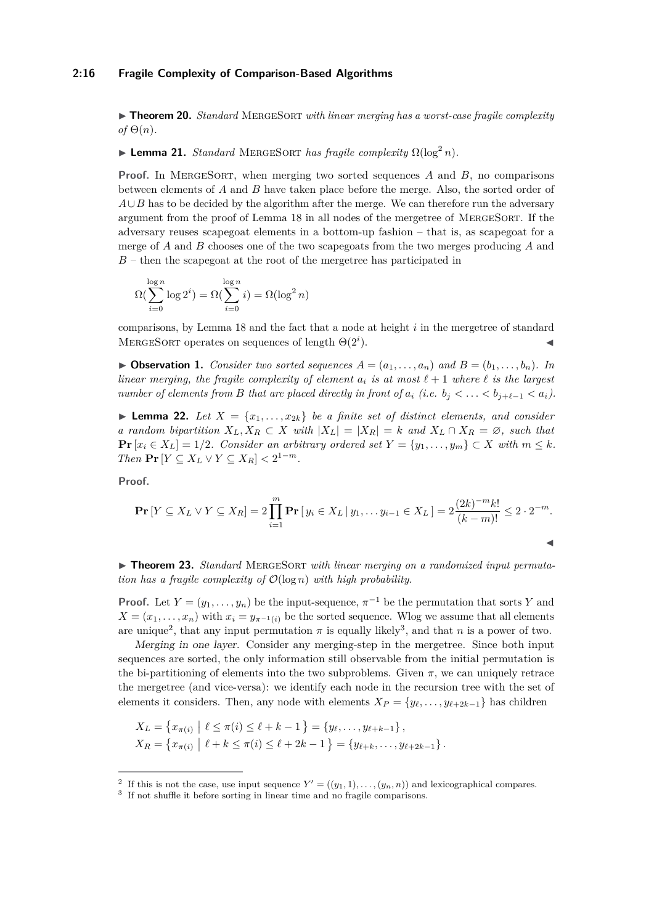#### **2:16 Fragile Complexity of Comparison-Based Algorithms**

► **Theorem 20.** *Standard MERGESORT with linear merging has a worst-case fragile complexity*  $of \Theta(n)$ .

# <span id="page-15-1"></span> $\blacktriangleright$  **Lemma 21.** *Standard* MERGESORT *has fragile complexity*  $\Omega(\log^2 n)$ *.*

**Proof.** In MergeSort, when merging two sorted sequences *A* and *B*, no comparisons between elements of *A* and *B* have taken place before the merge. Also, the sorted order of  $A \cup B$  has to be decided by the algorithm after the merge. We can therefore run the adversary argument from the proof of Lemma [18](#page-14-0) in all nodes of the mergetree of MergeSort. If the adversary reuses scapegoat elements in a bottom-up fashion – that is, as scapegoat for a merge of *A* and *B* chooses one of the two scapegoats from the two merges producing *A* and *B* – then the scapegoat at the root of the mergetree has participated in

$$
\Omega(\sum_{i=0}^{\log n} \log 2^i) = \Omega(\sum_{i=0}^{\log n} i) = \Omega(\log^2 n)
$$

comparisons, by Lemma [18](#page-14-0) and the fact that a node at height *i* in the mergetree of standard MERGESORT operates on sequences of length  $\Theta(2^i)$ .  $\blacksquare$ ).

<span id="page-15-5"></span> $\triangleright$  **Observation 1.** *Consider two sorted sequences*  $A = (a_1, \ldots, a_n)$  *and*  $B = (b_1, \ldots, b_n)$ *. In linear merging, the fragile complexity of element*  $a_i$  *is at most*  $\ell + 1$  *where*  $\ell$  *is the largest number of elements from B that are placed directly in front of*  $a_i$  *(i.e.*  $b_i < \ldots < b_{i+\ell-1} < a_i$ ).

<span id="page-15-4"></span>**Lemma 22.** Let  $X = \{x_1, \ldots, x_{2k}\}$  be a finite set of distinct elements, and consider *a random bipartition*  $X_L, X_R \subset X$  *with*  $|X_L| = |X_R| = k$  *and*  $X_L \cap X_R = \emptyset$ *, such that* **Pr**  $[x_i \in X_L] = 1/2$ *. Consider an arbitrary ordered set*  $Y = \{y_1, \ldots, y_m\}$  ⊂ *X with*  $m ≤ k$ *. Then*  $\Pr[Y \subseteq X_L \lor Y \subseteq X_R] < 2^{1-m}$ .

**Proof.**

$$
\Pr[Y \subseteq X_L \lor Y \subseteq X_R] = 2 \prod_{i=1}^m \Pr[y_i \in X_L \mid y_1, \dots y_{i-1} \in X_L] = 2 \frac{(2k)^{-m} k!}{(k-m)!} \le 2 \cdot 2^{-m}.
$$

<span id="page-15-0"></span>▶ **Theorem 23.** *Standard MERGESORT with linear merging on a randomized input permutation has a fragile complexity of* O(log *n*) *with high probability.*

**Proof.** Let  $Y = (y_1, \ldots, y_n)$  be the input-sequence,  $\pi^{-1}$  be the permutation that sorts *Y* and  $X = (x_1, \ldots, x_n)$  with  $x_i = y_{\pi^{-1}(i)}$  be the sorted sequence. Wlog we assume that all elements are unique<sup>[2](#page-15-2)</sup>, that any input permutation  $\pi$  is equally likely<sup>[3](#page-15-3)</sup>, and that *n* is a power of two.

Merging in one layer. Consider any merging-step in the mergetree. Since both input sequences are sorted, the only information still observable from the initial permutation is the bi-partitioning of elements into the two subproblems. Given  $\pi$ , we can uniquely retrace the mergetree (and vice-versa): we identify each node in the recursion tree with the set of elements it considers. Then, any node with elements  $X_P = \{y_\ell, \ldots, y_{\ell+2k-1}\}\)$  has children

$$
X_L = \{x_{\pi(i)} \mid \ell \leq \pi(i) \leq \ell + k - 1\} = \{y_{\ell}, \dots, y_{\ell+k-1}\},
$$
  
\n
$$
X_R = \{x_{\pi(i)} \mid \ell + k \leq \pi(i) \leq \ell + 2k - 1\} = \{y_{\ell+k}, \dots, y_{\ell+2k-1}\}.
$$

<span id="page-15-2"></span><sup>&</sup>lt;sup>2</sup> If this is not the case, use input sequence  $Y' = ((y_1, 1), \ldots, (y_n, n))$  and lexicographical compares.

<span id="page-15-3"></span><sup>&</sup>lt;sup>3</sup> If not shuffle it before sorting in linear time and no fragile comparisons.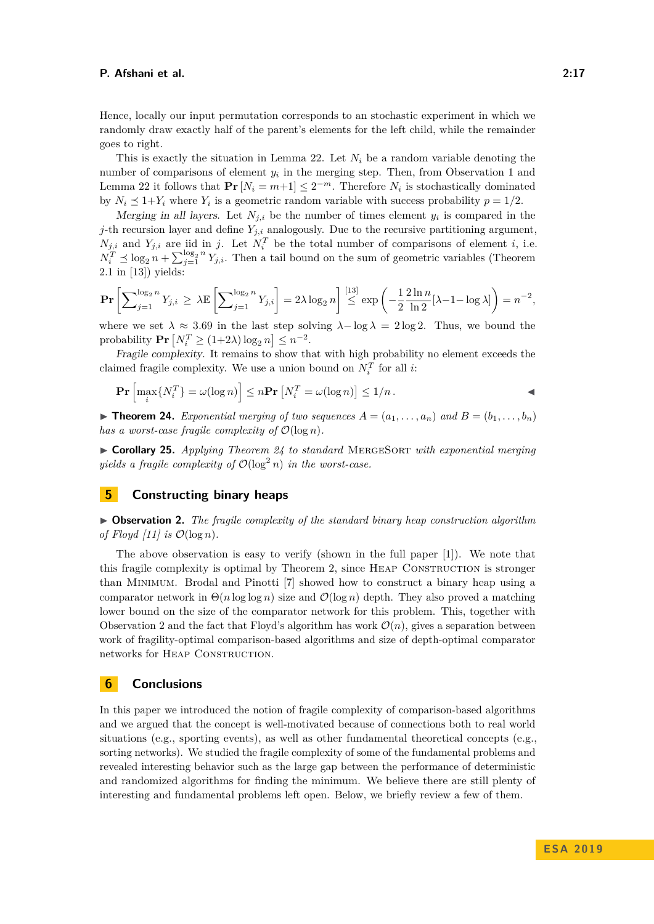Hence, locally our input permutation corresponds to an stochastic experiment in which we randomly draw exactly half of the parent's elements for the left child, while the remainder goes to right.

This is exactly the situation in Lemma [22.](#page-15-4) Let  $N_i$  be a random variable denoting the number of comparisons of element  $y_i$  in the merging step. Then, from Observation [1](#page-15-5) and Lemma [22](#page-15-4) it follows that  $Pr[N_i = m+1] \leq 2^{-m}$ . Therefore  $N_i$  is stochastically dominated by  $N_i \leq 1 + Y_i$  where  $Y_i$  is a geometric random variable with success probability  $p = 1/2$ .

Merging in all layers. Let  $N_{j,i}$  be the number of times element  $y_i$  is compared in the *j*-th recursion layer and define  $Y_{j,i}$  analogously. Due to the recursive partitioning argument,  $N_{j,i}$  and  $Y_{j,i}$  are iid in *j*. Let  $N_i^T$  be the total number of comparisons of element *i*, i.e.  $N_i^T \preceq \log_2 n + \sum_{j=1}^{\log_2 n} Y_{j,i}$ . Then a tail bound on the sum of geometric variables (Theorem 2.1 in [\[13\]](#page-17-16)) yields:

$$
\Pr\left[\sum_{j=1}^{\log_2 n} Y_{j,i} \ge \lambda \mathbb{E}\left[\sum_{j=1}^{\log_2 n} Y_{j,i}\right] = 2\lambda \log_2 n\right] \stackrel{[13]}{\le} \exp\left(-\frac{1}{2} \frac{2 \ln n}{\ln 2} [\lambda - 1 - \log \lambda]\right) = n^{-2},
$$

where we set  $\lambda \approx 3.69$  in the last step solving  $\lambda - \log \lambda = 2 \log 2$ . Thus, we bound the  $\text{probability } \mathbf{Pr} \left[ N_i^T \ge (1+2\lambda) \log_2 n \right] \le n^{-2}.$ 

Fragile complexity. It remains to show that with high probability no element exceeds the claimed fragile complexity. We use a union bound on  $N_i^T$  for all *i*:

$$
\Pr\left[\max_i\{N_i^T\} = \omega(\log n)\right] \le n \Pr\left[N_i^T = \omega(\log n)\right] \le 1/n.
$$

<span id="page-16-0"></span> $\triangleright$  **Theorem 24.** *Exponential merging of two sequences*  $A = (a_1, \ldots, a_n)$  and  $B = (b_1, \ldots, b_n)$ *has a worst-case fragile complexity of*  $\mathcal{O}(\log n)$ *.* 

▶ Corollary 25. *Applying Theorem [24](#page-16-0)* to standard MERGESORT with exponential merging *yields a fragile complexity of*  $\mathcal{O}(\log^2 n)$  *in the worst-case.* 

## <span id="page-16-2"></span>**5 Constructing binary heaps**

<span id="page-16-1"></span>I **Observation 2.** *The fragile complexity of the standard binary heap construction algorithm of Floyd [\[11\]](#page-17-17) is*  $\mathcal{O}(\log n)$ *.* 

The above observation is easy to verify (shown in the full paper [\[1\]](#page-17-14)). We note that this fragile complexity is optimal by Theorem [2,](#page-4-3) since Heap Construction is stronger than Minimum. Brodal and Pinotti [\[7\]](#page-17-10) showed how to construct a binary heap using a comparator network in  $\Theta(n \log \log n)$  size and  $\mathcal{O}(\log n)$  depth. They also proved a matching lower bound on the size of the comparator network for this problem. This, together with Observation [2](#page-16-1) and the fact that Floyd's algorithm has work  $\mathcal{O}(n)$ , gives a separation between work of fragility-optimal comparison-based algorithms and size of depth-optimal comparator networks for HEAP CONSTRUCTION.

# <span id="page-16-3"></span>**6 Conclusions**

In this paper we introduced the notion of fragile complexity of comparison-based algorithms and we argued that the concept is well-motivated because of connections both to real world situations (e.g., sporting events), as well as other fundamental theoretical concepts (e.g., sorting networks). We studied the fragile complexity of some of the fundamental problems and revealed interesting behavior such as the large gap between the performance of deterministic and randomized algorithms for finding the minimum. We believe there are still plenty of interesting and fundamental problems left open. Below, we briefly review a few of them.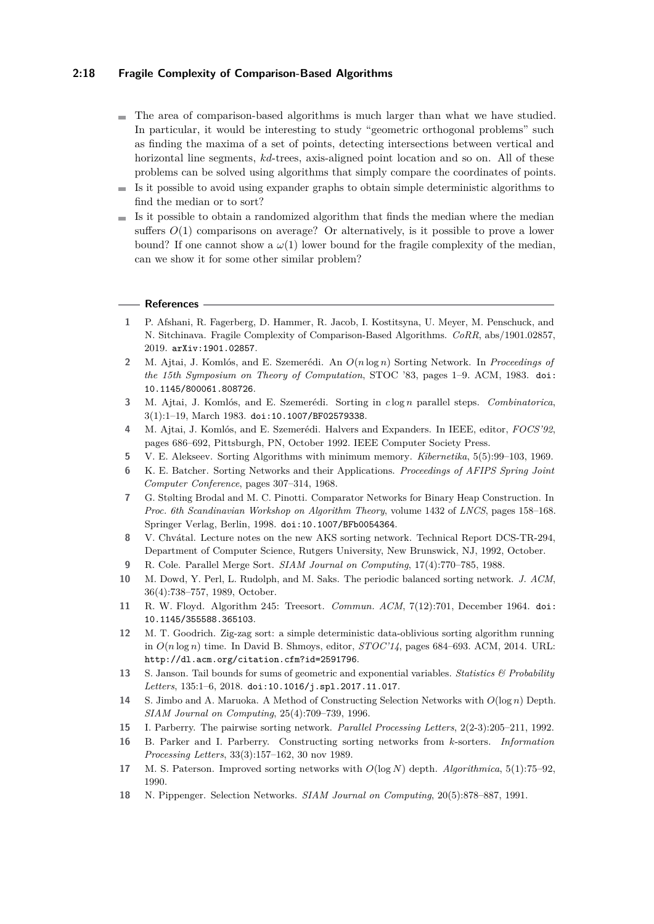## **2:18 Fragile Complexity of Comparison-Based Algorithms**

- The area of comparison-based algorithms is much larger than what we have studied. In particular, it would be interesting to study "geometric orthogonal problems" such as finding the maxima of a set of points, detecting intersections between vertical and horizontal line segments, *kd*-trees, axis-aligned point location and so on. All of these problems can be solved using algorithms that simply compare the coordinates of points.
- $\blacksquare$  Is it possible to avoid using expander graphs to obtain simple deterministic algorithms to find the median or to sort?
- $\blacksquare$  Is it possible to obtain a randomized algorithm that finds the median where the median suffers  $O(1)$  comparisons on average? Or alternatively, is it possible to prove a lower bound? If one cannot show a  $\omega(1)$  lower bound for the fragile complexity of the median, can we show it for some other similar problem?

#### **References**

- <span id="page-17-14"></span>**1** P. Afshani, R. Fagerberg, D. Hammer, R. Jacob, I. Kostitsyna, U. Meyer, M. Penschuck, and N. Sitchinava. Fragile Complexity of Comparison-Based Algorithms. *CoRR*, abs/1901.02857, 2019. [arXiv:1901.02857](http://arxiv.org/abs/1901.02857).
- <span id="page-17-4"></span>**2** M. Ajtai, J. Komlós, and E. Szemerédi. An *O*(*n* log *n*) Sorting Network. In *Proceedings of the 15th Symposium on Theory of Computation*, STOC '83, pages 1–9. ACM, 1983. [doi:](https://doi.org/10.1145/800061.808726) [10.1145/800061.808726](https://doi.org/10.1145/800061.808726).
- <span id="page-17-5"></span>**3** M. Ajtai, J. Komlós, and E. Szemerédi. Sorting in *c* log *n* parallel steps. *Combinatorica*, 3(1):1–19, March 1983. [doi:10.1007/BF02579338](https://doi.org/10.1007/BF02579338).
- <span id="page-17-15"></span>**4** M. Ajtai, J. Komlós, and E. Szemerédi. Halvers and Expanders. In IEEE, editor, *FOCS'92*, pages 686–692, Pittsburgh, PN, October 1992. IEEE Computer Society Press.
- <span id="page-17-9"></span>**5** V. E. Alekseev. Sorting Algorithms with minimum memory. *Kibernetika*, 5(5):99–103, 1969.
- <span id="page-17-0"></span>**6** K. E. Batcher. Sorting Networks and their Applications. *Proceedings of AFIPS Spring Joint Computer Conference*, pages 307–314, 1968.
- <span id="page-17-10"></span>**7** G. Stølting Brodal and M. C. Pinotti. Comparator Networks for Binary Heap Construction. In *Proc. 6th Scandinavian Workshop on Algorithm Theory*, volume 1432 of *LNCS*, pages 158–168. Springer Verlag, Berlin, 1998. [doi:10.1007/BFb0054364](https://doi.org/10.1007/BFb0054364).
- <span id="page-17-6"></span>**8** V. Chvátal. Lecture notes on the new AKS sorting network. Technical Report DCS-TR-294, Department of Computer Science, Rutgers University, New Brunswick, NJ, 1992, October.
- <span id="page-17-13"></span>**9** R. Cole. Parallel Merge Sort. *SIAM Journal on Computing*, 17(4):770–785, 1988.
- <span id="page-17-1"></span>**10** M. Dowd, Y. Perl, L. Rudolph, and M. Saks. The periodic balanced sorting network. *J. ACM*, 36(4):738–757, 1989, October.
- <span id="page-17-17"></span>**11** R. W. Floyd. Algorithm 245: Treesort. *Commun. ACM*, 7(12):701, December 1964. [doi:](https://doi.org/10.1145/355588.365103) [10.1145/355588.365103](https://doi.org/10.1145/355588.365103).
- <span id="page-17-7"></span>**12** M. T. Goodrich. Zig-zag sort: a simple deterministic data-oblivious sorting algorithm running in *O*(*n* log *n*) time. In David B. Shmoys, editor, *STOC'14*, pages 684–693. ACM, 2014. URL: <http://dl.acm.org/citation.cfm?id=2591796>.
- <span id="page-17-16"></span>**13** S. Janson. Tail bounds for sums of geometric and exponential variables. *Statistics & Probability Letters*, 135:1–6, 2018. [doi:10.1016/j.spl.2017.11.017](https://doi.org/10.1016/j.spl.2017.11.017).
- <span id="page-17-11"></span>**14** S. Jimbo and A. Maruoka. A Method of Constructing Selection Networks with *O*(log *n*) Depth. *SIAM Journal on Computing*, 25(4):709–739, 1996.
- <span id="page-17-2"></span>**15** I. Parberry. The pairwise sorting network. *Parallel Processing Letters*, 2(2-3):205–211, 1992.
- <span id="page-17-3"></span>**16** B. Parker and I. Parberry. Constructing sorting networks from *k*-sorters. *Information Processing Letters*, 33(3):157–162, 30 nov 1989.
- <span id="page-17-8"></span>**17** M. S. Paterson. Improved sorting networks with *O*(log *N*) depth. *Algorithmica*, 5(1):75–92, 1990.
- <span id="page-17-12"></span>**18** N. Pippenger. Selection Networks. *SIAM Journal on Computing*, 20(5):878–887, 1991.